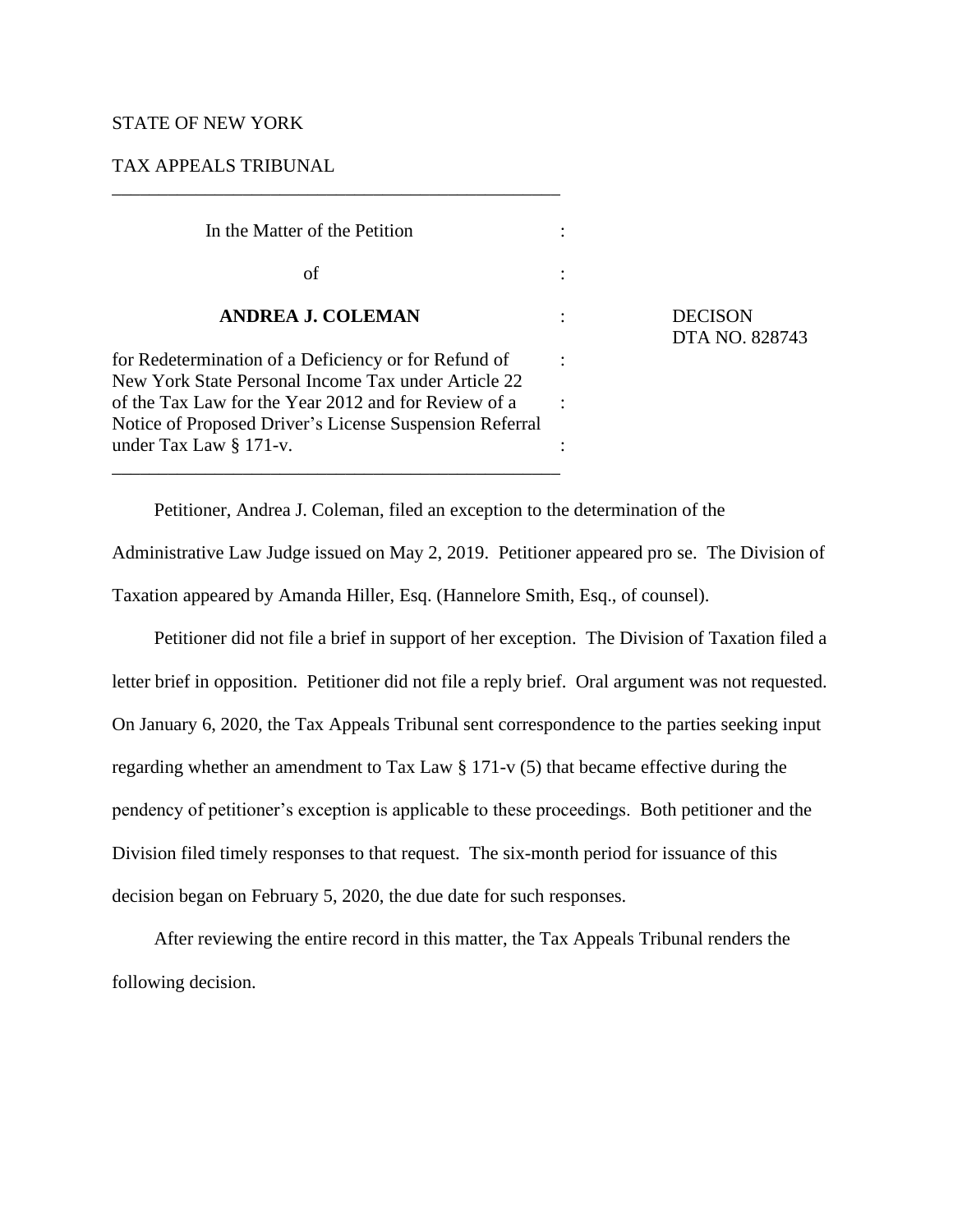## STATE OF NEW YORK

# TAX APPEALS TRIBUNAL

| In the Matter of the Petition                                                                                   |  |
|-----------------------------------------------------------------------------------------------------------------|--|
| οf                                                                                                              |  |
| <b>ANDREA J. COLEMAN</b>                                                                                        |  |
| for Redetermination of a Deficiency or for Refund of<br>New York State Personal Income Tax under Article 22     |  |
| of the Tax Law for the Year 2012 and for Review of a<br>Notice of Proposed Driver's License Suspension Referral |  |
| under Tax Law § 171-v.                                                                                          |  |

\_\_\_\_\_\_\_\_\_\_\_\_\_\_\_\_\_\_\_\_\_\_\_\_\_\_\_\_\_\_\_\_\_\_\_\_\_\_\_\_\_\_\_\_\_\_\_\_

**DECISON** DTA NO. 828743

Petitioner, Andrea J. Coleman, filed an exception to the determination of the

Administrative Law Judge issued on May 2, 2019. Petitioner appeared pro se. The Division of Taxation appeared by Amanda Hiller, Esq. (Hannelore Smith, Esq., of counsel).

Petitioner did not file a brief in support of her exception. The Division of Taxation filed a letter brief in opposition. Petitioner did not file a reply brief. Oral argument was not requested. On January 6, 2020, the Tax Appeals Tribunal sent correspondence to the parties seeking input regarding whether an amendment to Tax Law § 171-v (5) that became effective during the pendency of petitioner's exception is applicable to these proceedings. Both petitioner and the Division filed timely responses to that request. The six-month period for issuance of this decision began on February 5, 2020, the due date for such responses.

After reviewing the entire record in this matter, the Tax Appeals Tribunal renders the following decision.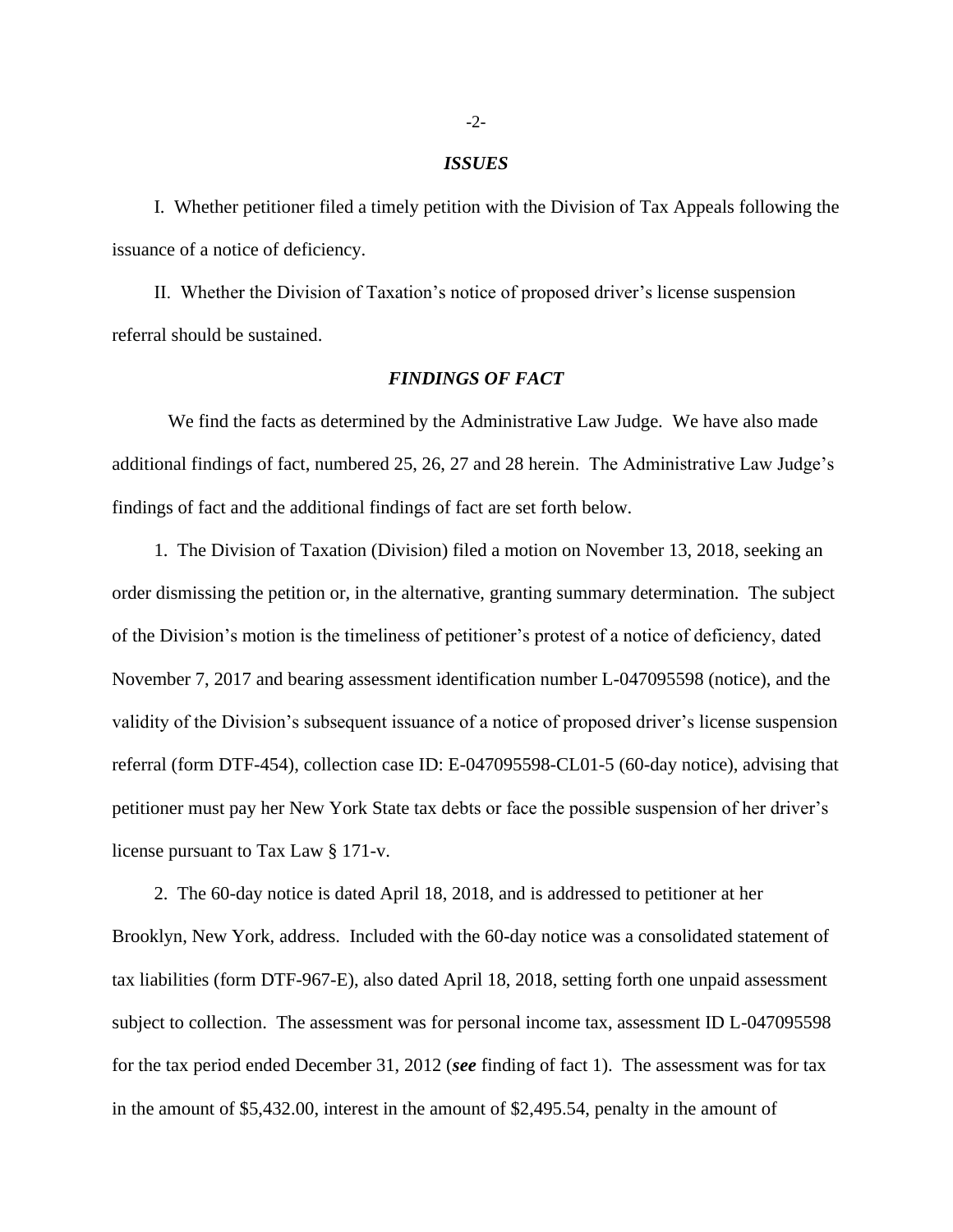#### *ISSUES*

I. Whether petitioner filed a timely petition with the Division of Tax Appeals following the issuance of a notice of deficiency.

II. Whether the Division of Taxation's notice of proposed driver's license suspension referral should be sustained.

## *FINDINGS OF FACT*

We find the facts as determined by the Administrative Law Judge. We have also made additional findings of fact, numbered 25, 26, 27 and 28 herein. The Administrative Law Judge's findings of fact and the additional findings of fact are set forth below.

1. The Division of Taxation (Division) filed a motion on November 13, 2018, seeking an order dismissing the petition or, in the alternative, granting summary determination. The subject of the Division's motion is the timeliness of petitioner's protest of a notice of deficiency, dated November 7, 2017 and bearing assessment identification number L-047095598 (notice), and the validity of the Division's subsequent issuance of a notice of proposed driver's license suspension referral (form DTF-454), collection case ID: E-047095598-CL01-5 (60-day notice), advising that petitioner must pay her New York State tax debts or face the possible suspension of her driver's license pursuant to Tax Law § 171-v.

2. The 60-day notice is dated April 18, 2018, and is addressed to petitioner at her Brooklyn, New York, address. Included with the 60-day notice was a consolidated statement of tax liabilities (form DTF-967-E), also dated April 18, 2018, setting forth one unpaid assessment subject to collection. The assessment was for personal income tax, assessment ID L-047095598 for the tax period ended December 31, 2012 (*see* finding of fact 1). The assessment was for tax in the amount of \$5,432.00, interest in the amount of \$2,495.54, penalty in the amount of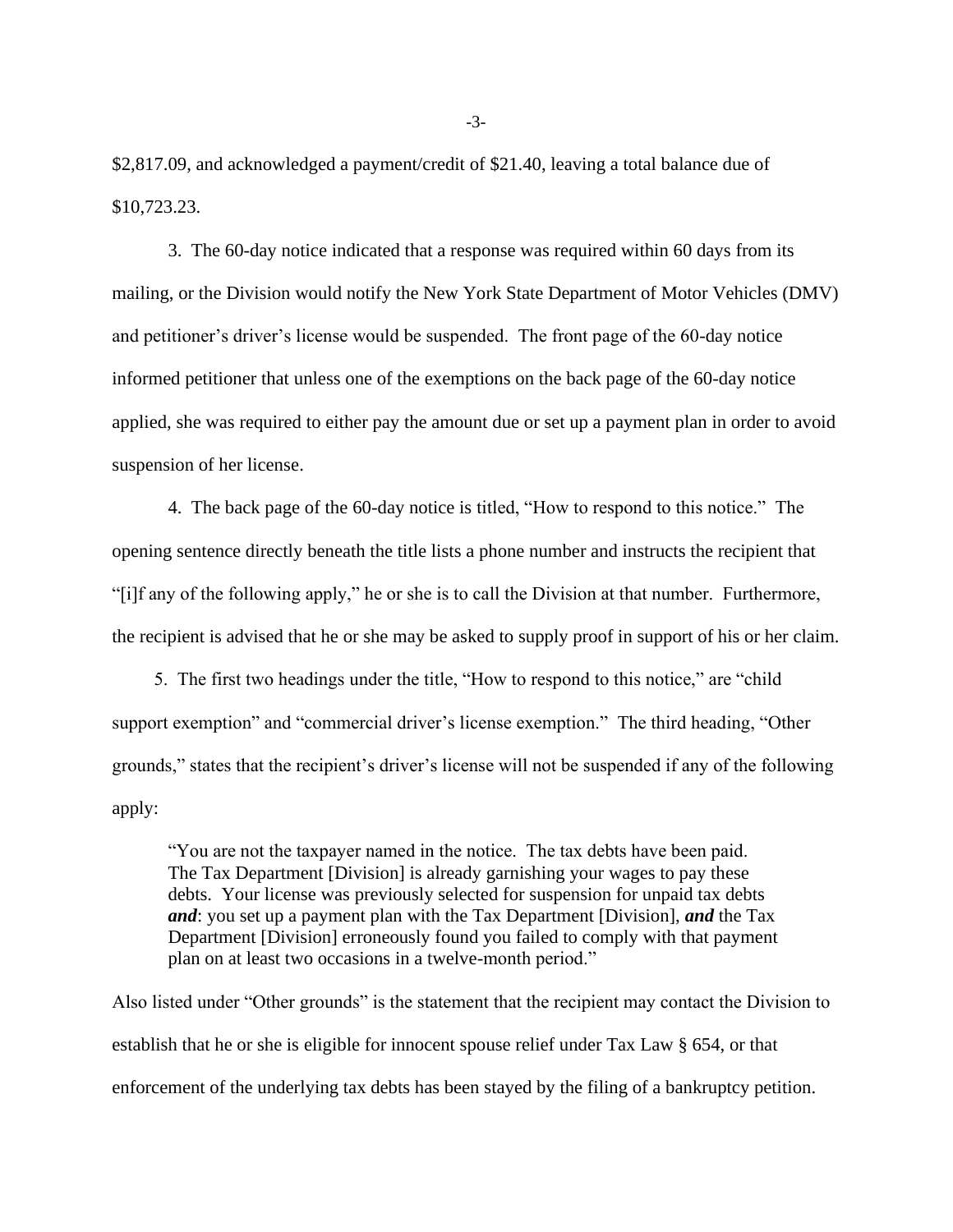\$2,817.09, and acknowledged a payment/credit of \$21.40, leaving a total balance due of \$10,723.23.

3. The 60-day notice indicated that a response was required within 60 days from its mailing, or the Division would notify the New York State Department of Motor Vehicles (DMV) and petitioner's driver's license would be suspended. The front page of the 60-day notice informed petitioner that unless one of the exemptions on the back page of the 60-day notice applied, she was required to either pay the amount due or set up a payment plan in order to avoid suspension of her license.

4. The back page of the 60-day notice is titled, "How to respond to this notice." The opening sentence directly beneath the title lists a phone number and instructs the recipient that "[i]f any of the following apply," he or she is to call the Division at that number. Furthermore, the recipient is advised that he or she may be asked to supply proof in support of his or her claim.

5. The first two headings under the title, "How to respond to this notice," are "child support exemption" and "commercial driver's license exemption." The third heading, "Other grounds," states that the recipient's driver's license will not be suspended if any of the following apply:

"You are not the taxpayer named in the notice. The tax debts have been paid. The Tax Department [Division] is already garnishing your wages to pay these debts. Your license was previously selected for suspension for unpaid tax debts *and*: you set up a payment plan with the Tax Department [Division], *and* the Tax Department [Division] erroneously found you failed to comply with that payment plan on at least two occasions in a twelve-month period."

Also listed under "Other grounds" is the statement that the recipient may contact the Division to establish that he or she is eligible for innocent spouse relief under Tax Law § 654, or that enforcement of the underlying tax debts has been stayed by the filing of a bankruptcy petition.

-3-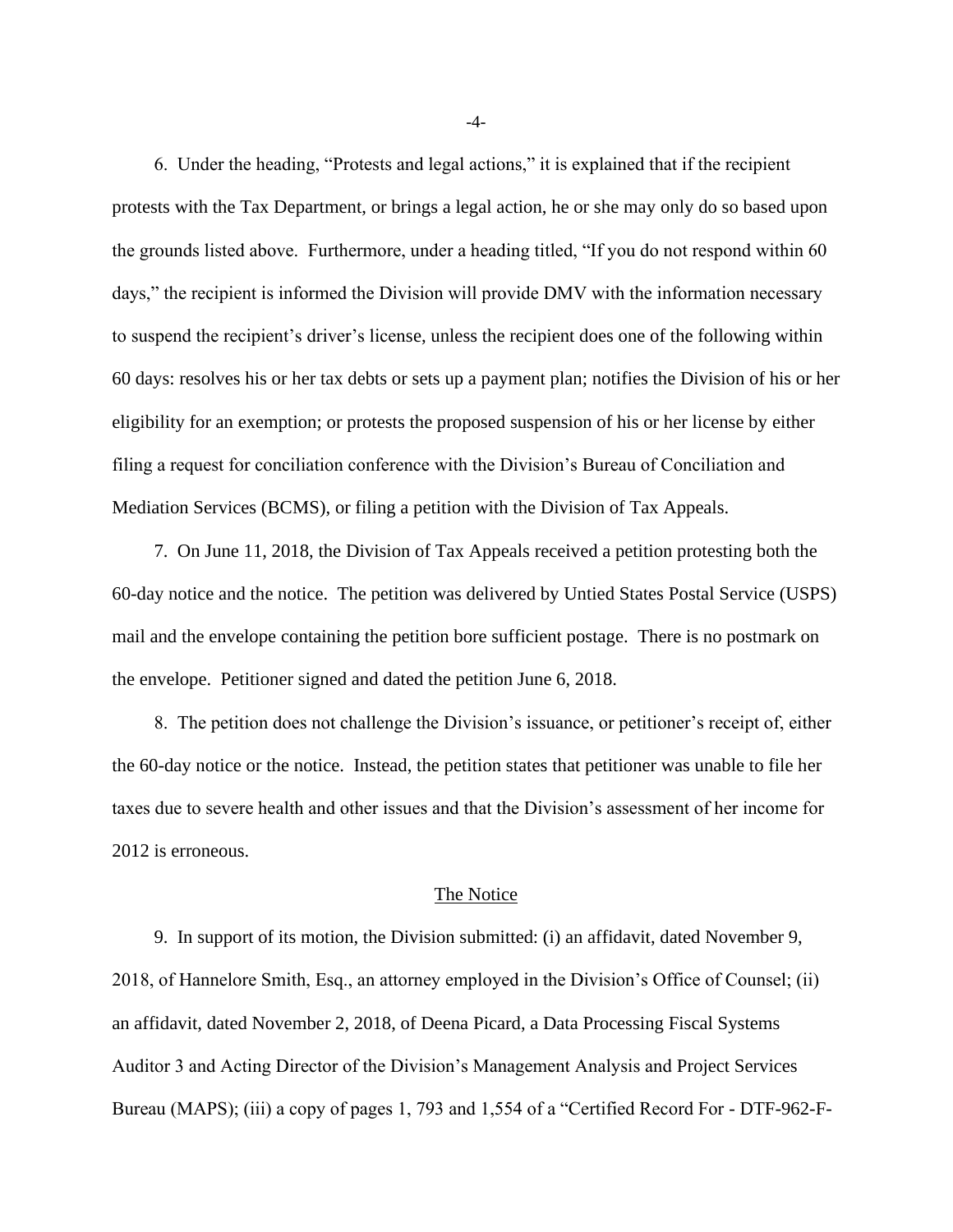6. Under the heading, "Protests and legal actions," it is explained that if the recipient protests with the Tax Department, or brings a legal action, he or she may only do so based upon the grounds listed above. Furthermore, under a heading titled, "If you do not respond within 60 days," the recipient is informed the Division will provide DMV with the information necessary to suspend the recipient's driver's license, unless the recipient does one of the following within 60 days: resolves his or her tax debts or sets up a payment plan; notifies the Division of his or her eligibility for an exemption; or protests the proposed suspension of his or her license by either filing a request for conciliation conference with the Division's Bureau of Conciliation and Mediation Services (BCMS), or filing a petition with the Division of Tax Appeals.

7. On June 11, 2018, the Division of Tax Appeals received a petition protesting both the 60-day notice and the notice. The petition was delivered by Untied States Postal Service (USPS) mail and the envelope containing the petition bore sufficient postage. There is no postmark on the envelope. Petitioner signed and dated the petition June 6, 2018.

8. The petition does not challenge the Division's issuance, or petitioner's receipt of, either the 60-day notice or the notice. Instead, the petition states that petitioner was unable to file her taxes due to severe health and other issues and that the Division's assessment of her income for 2012 is erroneous.

#### The Notice

9. In support of its motion, the Division submitted: (i) an affidavit, dated November 9, 2018, of Hannelore Smith, Esq., an attorney employed in the Division's Office of Counsel; (ii) an affidavit, dated November 2, 2018, of Deena Picard, a Data Processing Fiscal Systems Auditor 3 and Acting Director of the Division's Management Analysis and Project Services Bureau (MAPS); (iii) a copy of pages 1, 793 and 1,554 of a "Certified Record For - DTF-962-F-

-4-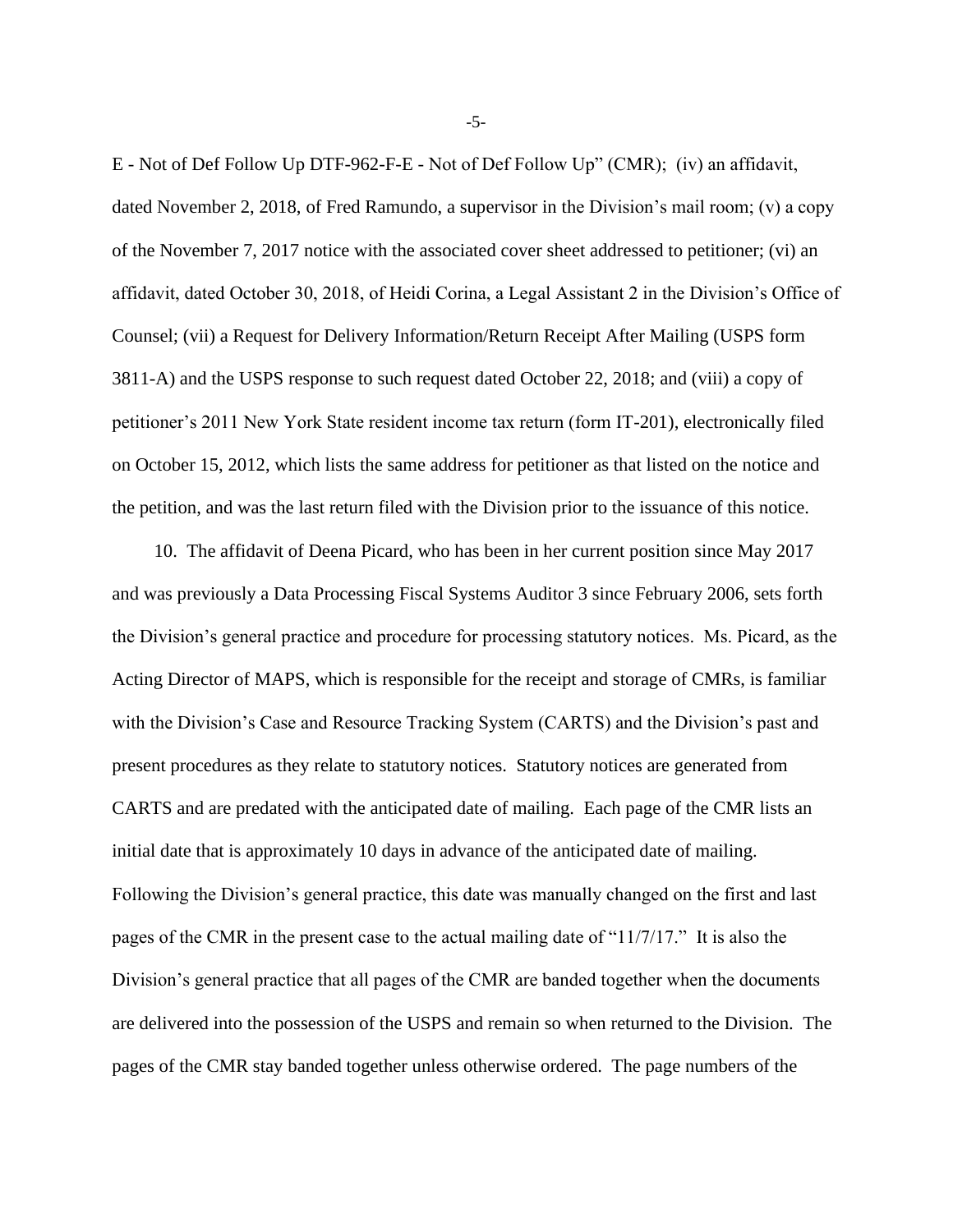E - Not of Def Follow Up DTF-962-F-E - Not of Def Follow Up" (CMR); (iv) an affidavit, dated November 2, 2018, of Fred Ramundo, a supervisor in the Division's mail room; (v) a copy of the November 7, 2017 notice with the associated cover sheet addressed to petitioner; (vi) an affidavit, dated October 30, 2018, of Heidi Corina, a Legal Assistant 2 in the Division's Office of Counsel; (vii) a Request for Delivery Information/Return Receipt After Mailing (USPS form 3811-A) and the USPS response to such request dated October 22, 2018; and (viii) a copy of petitioner's 2011 New York State resident income tax return (form IT-201), electronically filed on October 15, 2012, which lists the same address for petitioner as that listed on the notice and the petition, and was the last return filed with the Division prior to the issuance of this notice.

10. The affidavit of Deena Picard, who has been in her current position since May 2017 and was previously a Data Processing Fiscal Systems Auditor 3 since February 2006, sets forth the Division's general practice and procedure for processing statutory notices. Ms. Picard, as the Acting Director of MAPS, which is responsible for the receipt and storage of CMRs, is familiar with the Division's Case and Resource Tracking System (CARTS) and the Division's past and present procedures as they relate to statutory notices. Statutory notices are generated from CARTS and are predated with the anticipated date of mailing. Each page of the CMR lists an initial date that is approximately 10 days in advance of the anticipated date of mailing. Following the Division's general practice, this date was manually changed on the first and last pages of the CMR in the present case to the actual mailing date of "11/7/17." It is also the Division's general practice that all pages of the CMR are banded together when the documents are delivered into the possession of the USPS and remain so when returned to the Division. The pages of the CMR stay banded together unless otherwise ordered. The page numbers of the

-5-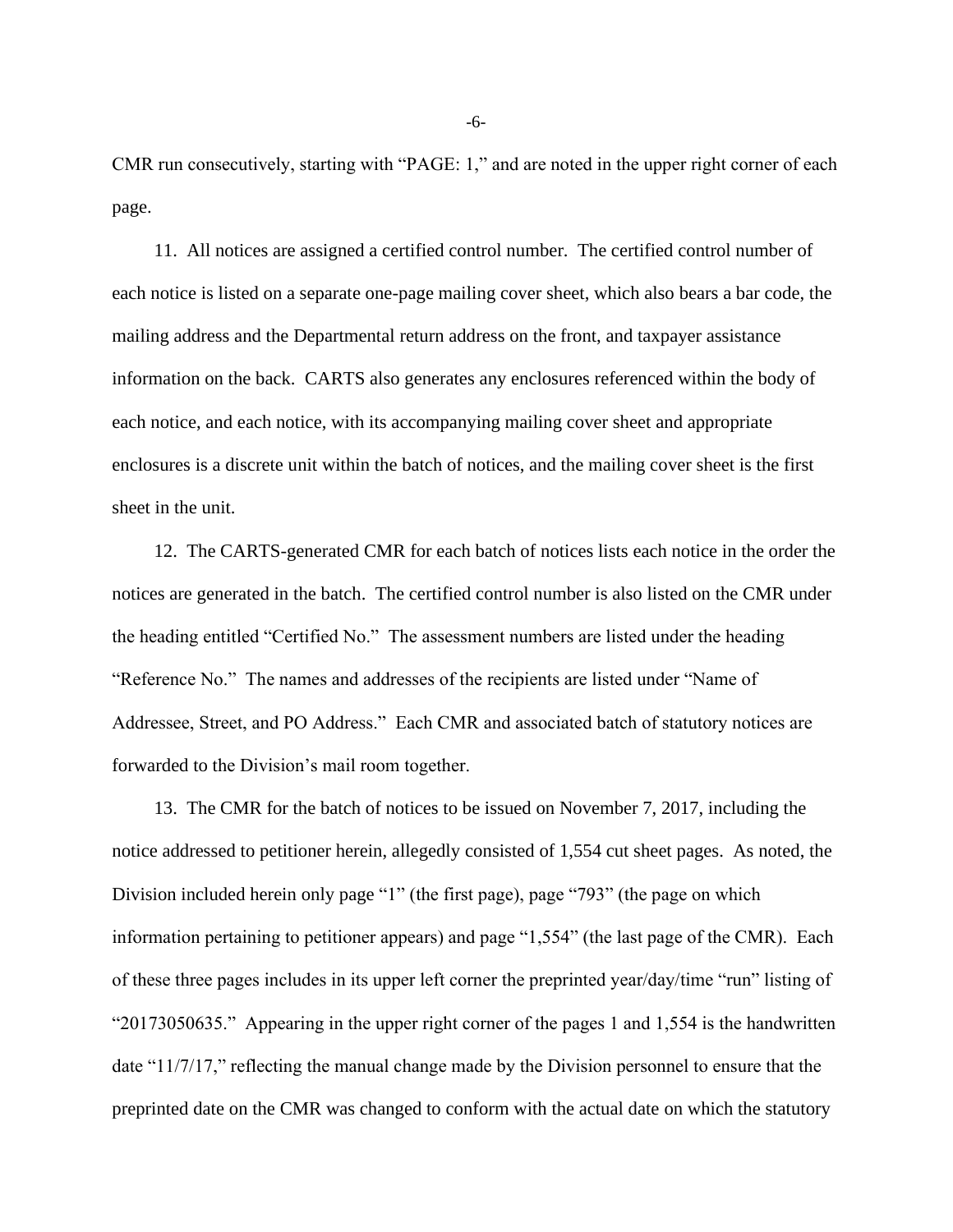CMR run consecutively, starting with "PAGE: 1," and are noted in the upper right corner of each page.

11. All notices are assigned a certified control number. The certified control number of each notice is listed on a separate one-page mailing cover sheet, which also bears a bar code, the mailing address and the Departmental return address on the front, and taxpayer assistance information on the back. CARTS also generates any enclosures referenced within the body of each notice, and each notice, with its accompanying mailing cover sheet and appropriate enclosures is a discrete unit within the batch of notices, and the mailing cover sheet is the first sheet in the unit.

12. The CARTS-generated CMR for each batch of notices lists each notice in the order the notices are generated in the batch. The certified control number is also listed on the CMR under the heading entitled "Certified No." The assessment numbers are listed under the heading "Reference No." The names and addresses of the recipients are listed under "Name of Addressee, Street, and PO Address." Each CMR and associated batch of statutory notices are forwarded to the Division's mail room together.

13. The CMR for the batch of notices to be issued on November 7, 2017, including the notice addressed to petitioner herein, allegedly consisted of 1,554 cut sheet pages. As noted, the Division included herein only page "1" (the first page), page "793" (the page on which information pertaining to petitioner appears) and page "1,554" (the last page of the CMR). Each of these three pages includes in its upper left corner the preprinted year/day/time "run" listing of "20173050635." Appearing in the upper right corner of the pages 1 and 1,554 is the handwritten date "11/7/17," reflecting the manual change made by the Division personnel to ensure that the preprinted date on the CMR was changed to conform with the actual date on which the statutory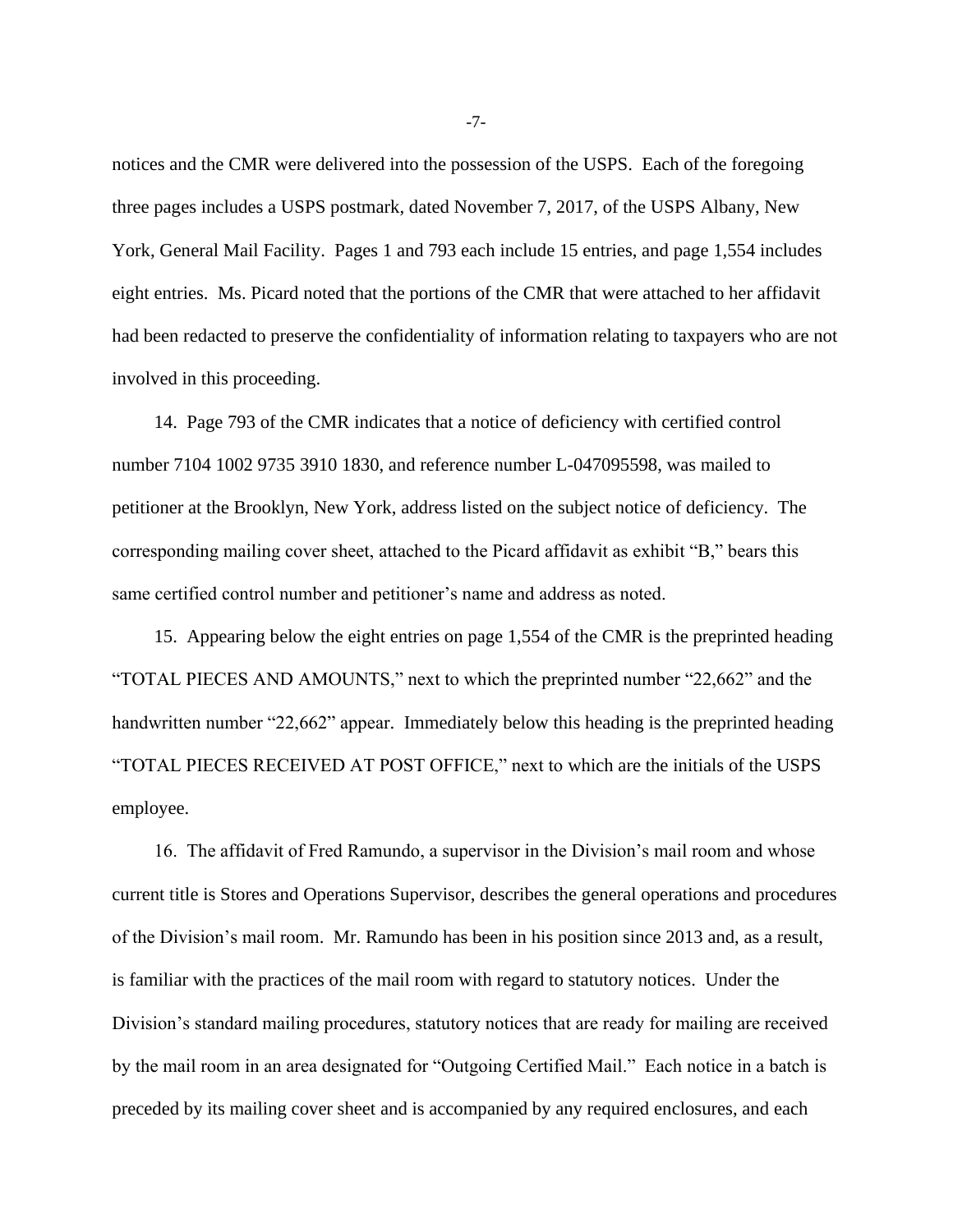notices and the CMR were delivered into the possession of the USPS. Each of the foregoing three pages includes a USPS postmark, dated November 7, 2017, of the USPS Albany, New York, General Mail Facility. Pages 1 and 793 each include 15 entries, and page 1,554 includes eight entries. Ms. Picard noted that the portions of the CMR that were attached to her affidavit had been redacted to preserve the confidentiality of information relating to taxpayers who are not involved in this proceeding.

14. Page 793 of the CMR indicates that a notice of deficiency with certified control number 7104 1002 9735 3910 1830, and reference number L-047095598, was mailed to petitioner at the Brooklyn, New York, address listed on the subject notice of deficiency. The corresponding mailing cover sheet, attached to the Picard affidavit as exhibit "B," bears this same certified control number and petitioner's name and address as noted.

15. Appearing below the eight entries on page 1,554 of the CMR is the preprinted heading "TOTAL PIECES AND AMOUNTS," next to which the preprinted number "22,662" and the handwritten number "22,662" appear. Immediately below this heading is the preprinted heading "TOTAL PIECES RECEIVED AT POST OFFICE," next to which are the initials of the USPS employee.

16. The affidavit of Fred Ramundo, a supervisor in the Division's mail room and whose current title is Stores and Operations Supervisor, describes the general operations and procedures of the Division's mail room. Mr. Ramundo has been in his position since 2013 and, as a result, is familiar with the practices of the mail room with regard to statutory notices. Under the Division's standard mailing procedures, statutory notices that are ready for mailing are received by the mail room in an area designated for "Outgoing Certified Mail." Each notice in a batch is preceded by its mailing cover sheet and is accompanied by any required enclosures, and each

-7-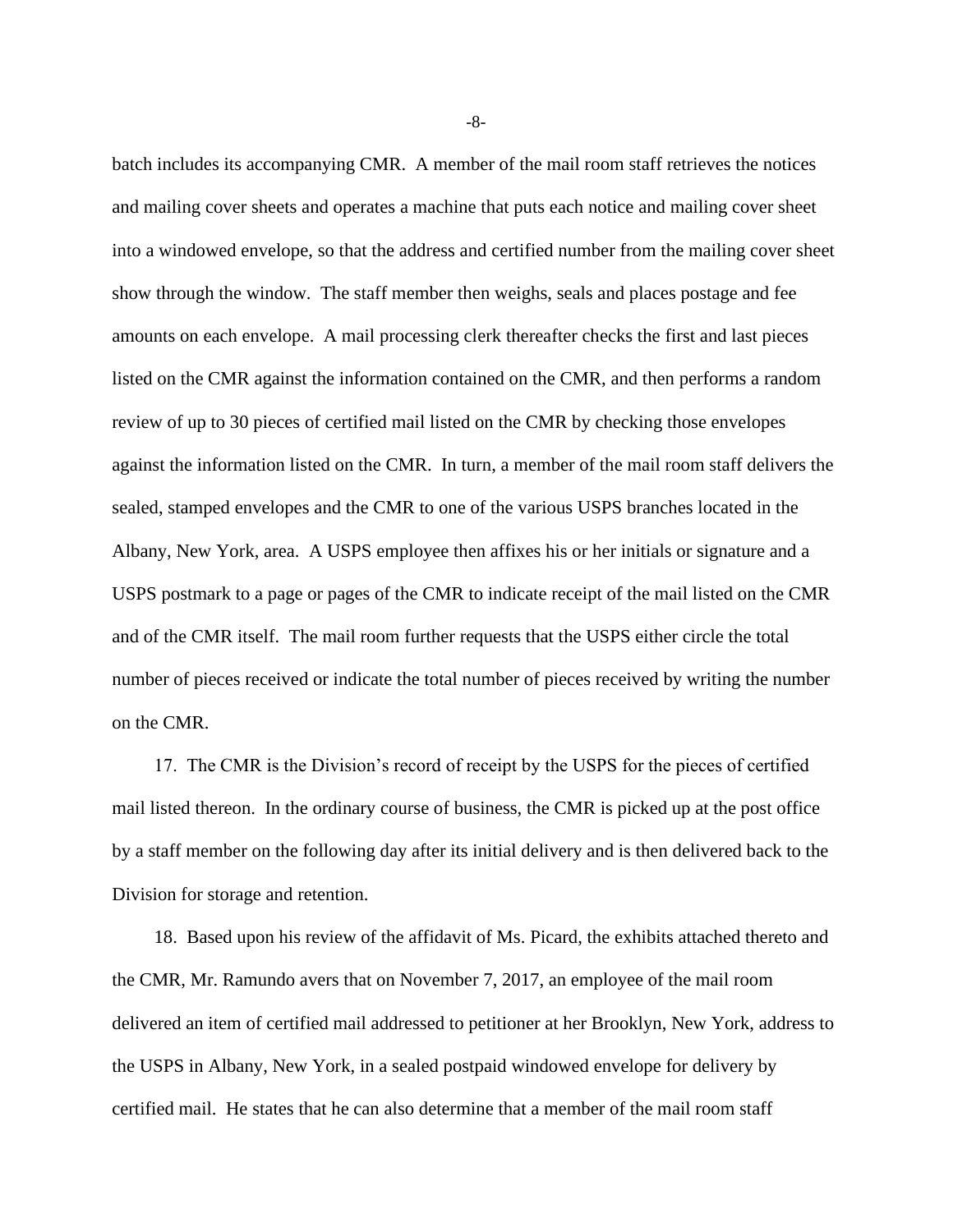batch includes its accompanying CMR. A member of the mail room staff retrieves the notices and mailing cover sheets and operates a machine that puts each notice and mailing cover sheet into a windowed envelope, so that the address and certified number from the mailing cover sheet show through the window. The staff member then weighs, seals and places postage and fee amounts on each envelope. A mail processing clerk thereafter checks the first and last pieces listed on the CMR against the information contained on the CMR, and then performs a random review of up to 30 pieces of certified mail listed on the CMR by checking those envelopes against the information listed on the CMR. In turn, a member of the mail room staff delivers the sealed, stamped envelopes and the CMR to one of the various USPS branches located in the Albany, New York, area. A USPS employee then affixes his or her initials or signature and a USPS postmark to a page or pages of the CMR to indicate receipt of the mail listed on the CMR and of the CMR itself. The mail room further requests that the USPS either circle the total number of pieces received or indicate the total number of pieces received by writing the number on the CMR.

17. The CMR is the Division's record of receipt by the USPS for the pieces of certified mail listed thereon. In the ordinary course of business, the CMR is picked up at the post office by a staff member on the following day after its initial delivery and is then delivered back to the Division for storage and retention.

18. Based upon his review of the affidavit of Ms. Picard, the exhibits attached thereto and the CMR, Mr. Ramundo avers that on November 7, 2017, an employee of the mail room delivered an item of certified mail addressed to petitioner at her Brooklyn, New York, address to the USPS in Albany, New York, in a sealed postpaid windowed envelope for delivery by certified mail. He states that he can also determine that a member of the mail room staff

-8-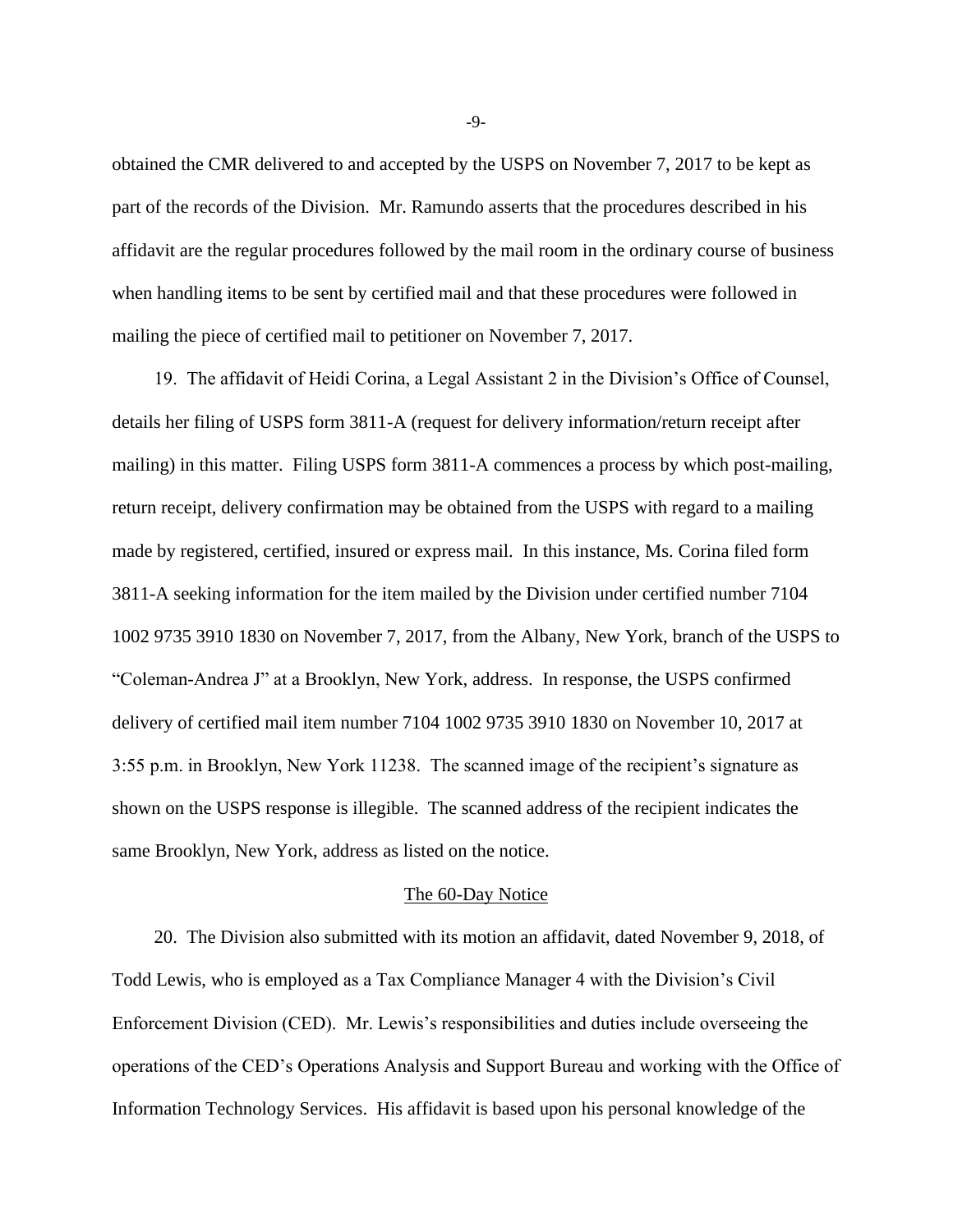obtained the CMR delivered to and accepted by the USPS on November 7, 2017 to be kept as part of the records of the Division. Mr. Ramundo asserts that the procedures described in his affidavit are the regular procedures followed by the mail room in the ordinary course of business when handling items to be sent by certified mail and that these procedures were followed in mailing the piece of certified mail to petitioner on November 7, 2017.

19. The affidavit of Heidi Corina, a Legal Assistant 2 in the Division's Office of Counsel, details her filing of USPS form 3811-A (request for delivery information/return receipt after mailing) in this matter. Filing USPS form 3811-A commences a process by which post-mailing, return receipt, delivery confirmation may be obtained from the USPS with regard to a mailing made by registered, certified, insured or express mail. In this instance, Ms. Corina filed form 3811-A seeking information for the item mailed by the Division under certified number 7104 1002 9735 3910 1830 on November 7, 2017, from the Albany, New York, branch of the USPS to "Coleman-Andrea J" at a Brooklyn, New York, address. In response, the USPS confirmed delivery of certified mail item number 7104 1002 9735 3910 1830 on November 10, 2017 at 3:55 p.m. in Brooklyn, New York 11238. The scanned image of the recipient's signature as shown on the USPS response is illegible. The scanned address of the recipient indicates the same Brooklyn, New York, address as listed on the notice.

#### The 60-Day Notice

20. The Division also submitted with its motion an affidavit, dated November 9, 2018, of Todd Lewis, who is employed as a Tax Compliance Manager 4 with the Division's Civil Enforcement Division (CED). Mr. Lewis's responsibilities and duties include overseeing the operations of the CED's Operations Analysis and Support Bureau and working with the Office of Information Technology Services. His affidavit is based upon his personal knowledge of the

-9-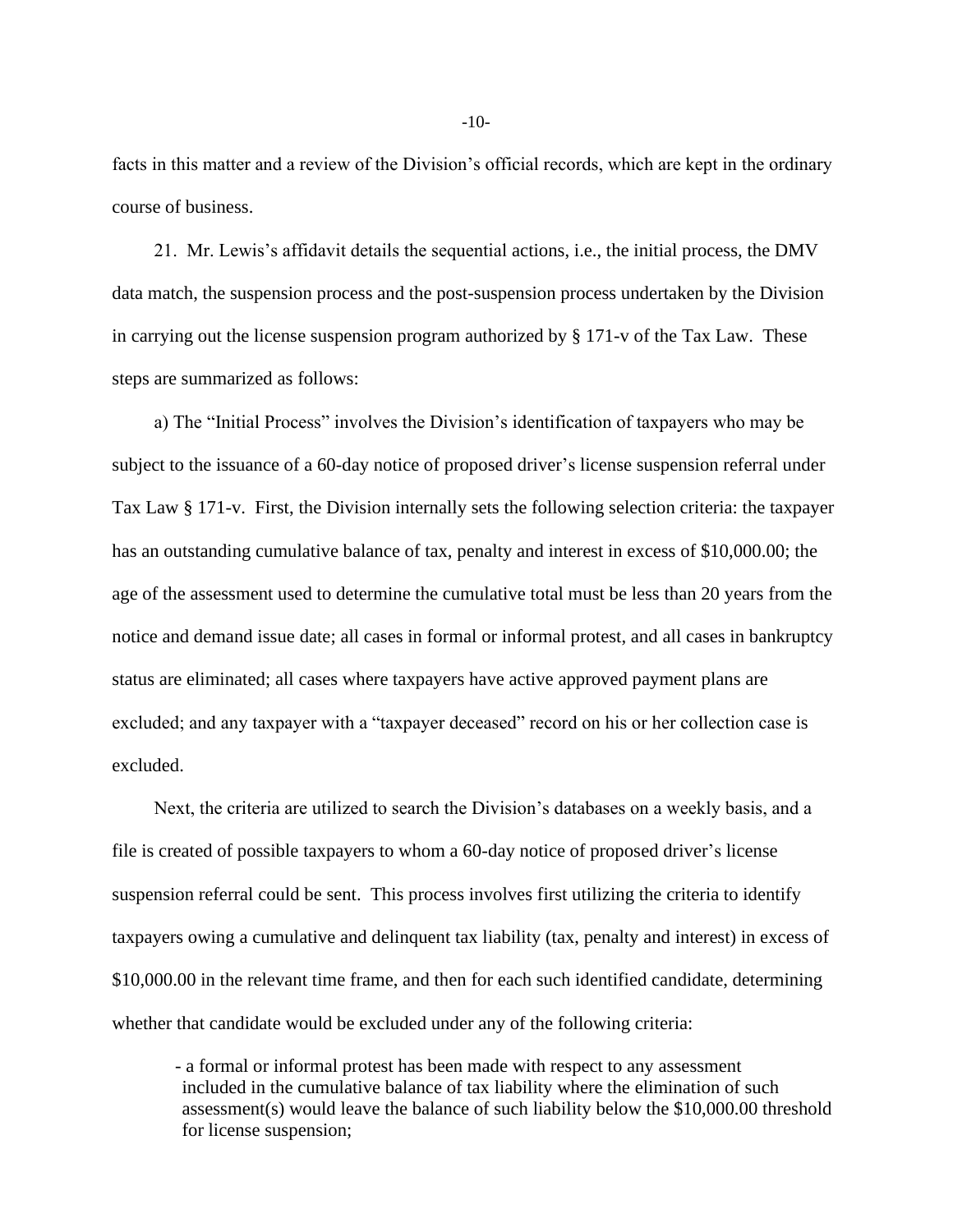facts in this matter and a review of the Division's official records, which are kept in the ordinary course of business.

21. Mr. Lewis's affidavit details the sequential actions, i.e., the initial process, the DMV data match, the suspension process and the post-suspension process undertaken by the Division in carrying out the license suspension program authorized by § 171-v of the Tax Law. These steps are summarized as follows:

a) The "Initial Process" involves the Division's identification of taxpayers who may be subject to the issuance of a 60-day notice of proposed driver's license suspension referral under Tax Law § 171-v. First, the Division internally sets the following selection criteria: the taxpayer has an outstanding cumulative balance of tax, penalty and interest in excess of \$10,000.00; the age of the assessment used to determine the cumulative total must be less than 20 years from the notice and demand issue date; all cases in formal or informal protest, and all cases in bankruptcy status are eliminated; all cases where taxpayers have active approved payment plans are excluded; and any taxpayer with a "taxpayer deceased" record on his or her collection case is excluded.

Next, the criteria are utilized to search the Division's databases on a weekly basis, and a file is created of possible taxpayers to whom a 60-day notice of proposed driver's license suspension referral could be sent. This process involves first utilizing the criteria to identify taxpayers owing a cumulative and delinquent tax liability (tax, penalty and interest) in excess of \$10,000.00 in the relevant time frame, and then for each such identified candidate, determining whether that candidate would be excluded under any of the following criteria:

- a formal or informal protest has been made with respect to any assessment included in the cumulative balance of tax liability where the elimination of such assessment(s) would leave the balance of such liability below the \$10,000.00 threshold for license suspension;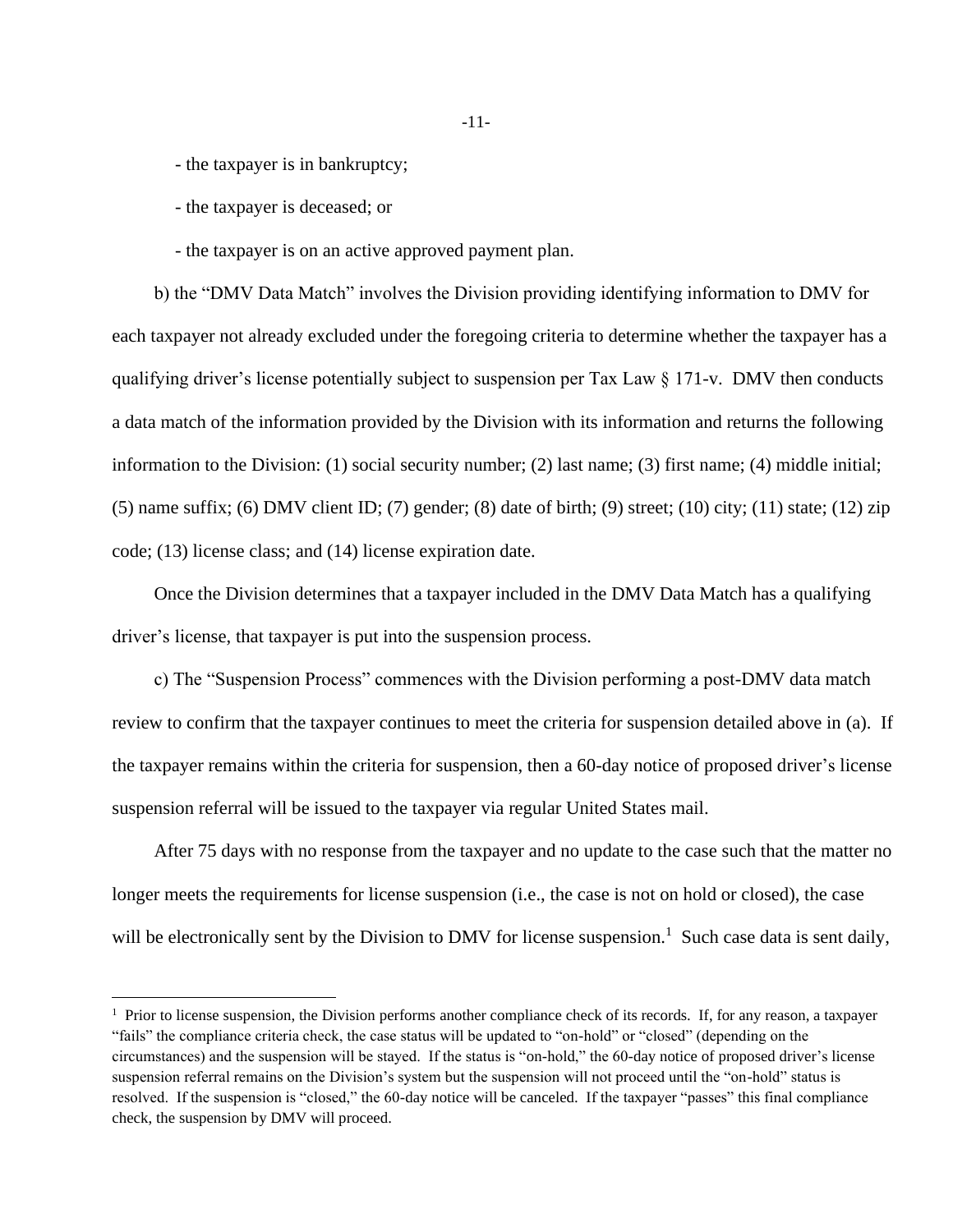- the taxpayer is in bankruptcy;

- the taxpayer is deceased; or

- the taxpayer is on an active approved payment plan.

b) the "DMV Data Match" involves the Division providing identifying information to DMV for each taxpayer not already excluded under the foregoing criteria to determine whether the taxpayer has a qualifying driver's license potentially subject to suspension per Tax Law § 171-v. DMV then conducts a data match of the information provided by the Division with its information and returns the following information to the Division: (1) social security number; (2) last name; (3) first name; (4) middle initial; (5) name suffix; (6) DMV client ID; (7) gender; (8) date of birth; (9) street; (10) city; (11) state; (12) zip code; (13) license class; and (14) license expiration date.

Once the Division determines that a taxpayer included in the DMV Data Match has a qualifying driver's license, that taxpayer is put into the suspension process.

c) The "Suspension Process" commences with the Division performing a post-DMV data match review to confirm that the taxpayer continues to meet the criteria for suspension detailed above in (a). If the taxpayer remains within the criteria for suspension, then a 60-day notice of proposed driver's license suspension referral will be issued to the taxpayer via regular United States mail.

After 75 days with no response from the taxpayer and no update to the case such that the matter no longer meets the requirements for license suspension (i.e., the case is not on hold or closed), the case will be electronically sent by the Division to DMV for license suspension.<sup>1</sup> Such case data is sent daily,

 $<sup>1</sup>$  Prior to license suspension, the Division performs another compliance check of its records. If, for any reason, a taxpayer</sup> "fails" the compliance criteria check, the case status will be updated to "on-hold" or "closed" (depending on the circumstances) and the suspension will be stayed. If the status is "on-hold," the 60-day notice of proposed driver's license suspension referral remains on the Division's system but the suspension will not proceed until the "on-hold" status is resolved. If the suspension is "closed," the 60-day notice will be canceled. If the taxpayer "passes" this final compliance check, the suspension by DMV will proceed.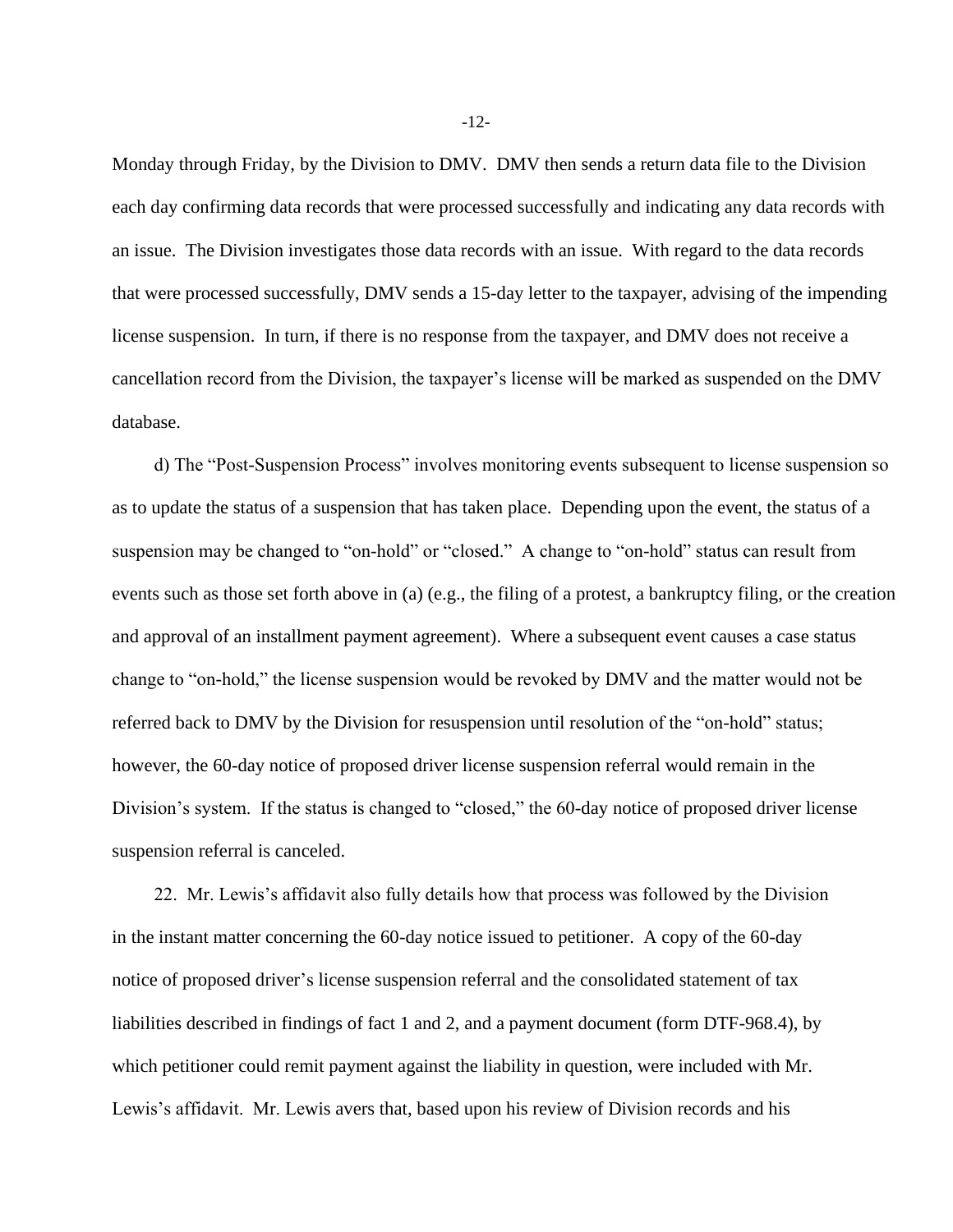Monday through Friday, by the Division to DMV. DMV then sends a return data file to the Division each day confirming data records that were processed successfully and indicating any data records with an issue. The Division investigates those data records with an issue. With regard to the data records that were processed successfully, DMV sends a 15-day letter to the taxpayer, advising of the impending license suspension. In turn, if there is no response from the taxpayer, and DMV does not receive a cancellation record from the Division, the taxpayer's license will be marked as suspended on the DMV database.

d) The "Post-Suspension Process" involves monitoring events subsequent to license suspension so as to update the status of a suspension that has taken place. Depending upon the event, the status of a suspension may be changed to "on-hold" or "closed." A change to "on-hold" status can result from events such as those set forth above in (a) (e.g., the filing of a protest, a bankruptcy filing, or the creation and approval of an installment payment agreement). Where a subsequent event causes a case status change to "on-hold," the license suspension would be revoked by DMV and the matter would not be referred back to DMV by the Division for resuspension until resolution of the "on-hold" status; however, the 60-day notice of proposed driver license suspension referral would remain in the Division's system. If the status is changed to "closed," the 60-day notice of proposed driver license suspension referral is canceled.

22. Mr. Lewis's affidavit also fully details how that process was followed by the Division in the instant matter concerning the 60-day notice issued to petitioner. A copy of the 60-day notice of proposed driver's license suspension referral and the consolidated statement of tax liabilities described in findings of fact 1 and 2, and a payment document (form DTF-968.4), by which petitioner could remit payment against the liability in question, were included with Mr. Lewis's affidavit. Mr. Lewis avers that, based upon his review of Division records and his

-12-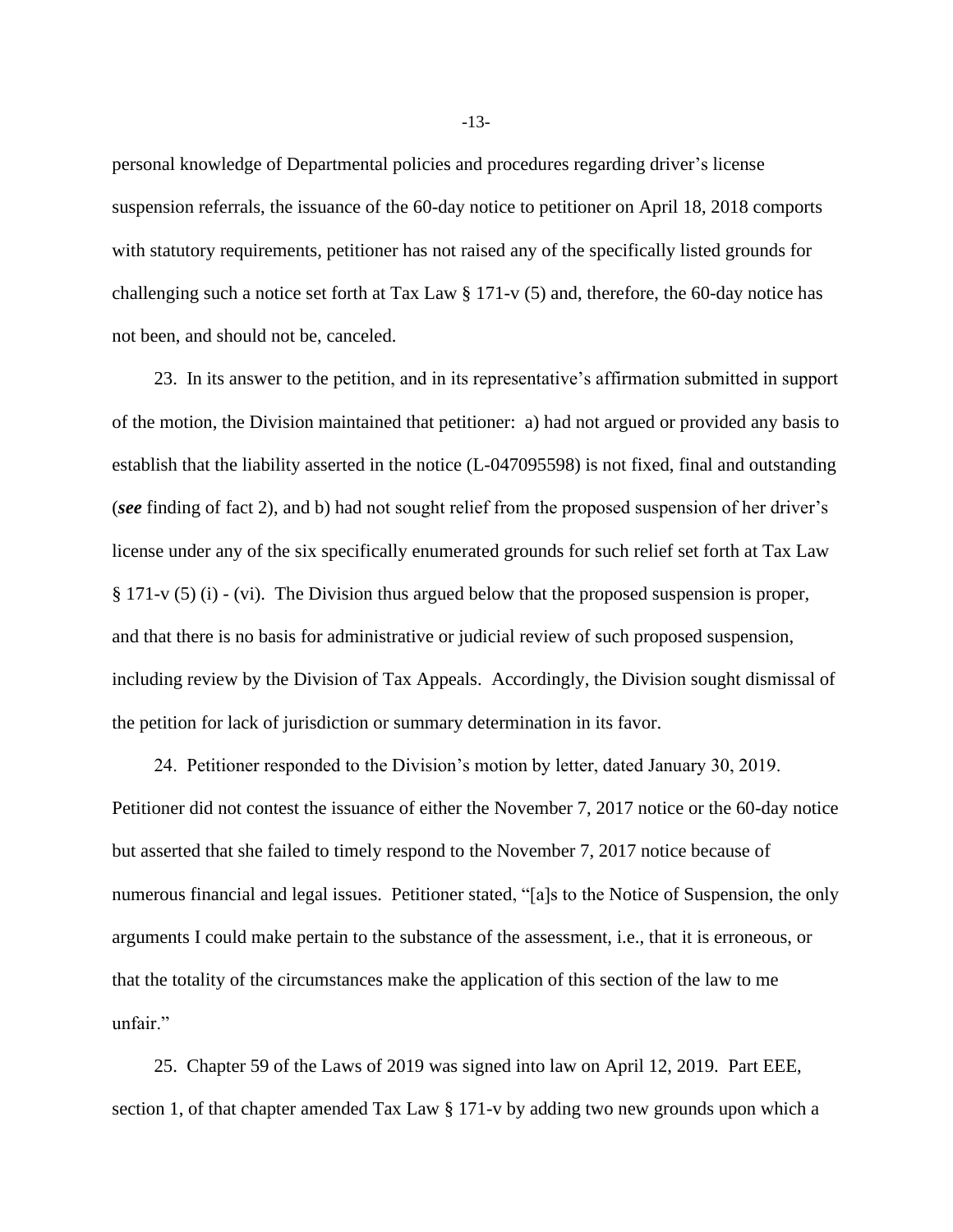personal knowledge of Departmental policies and procedures regarding driver's license suspension referrals, the issuance of the 60-day notice to petitioner on April 18, 2018 comports with statutory requirements, petitioner has not raised any of the specifically listed grounds for challenging such a notice set forth at Tax Law § 171-v (5) and, therefore, the 60-day notice has not been, and should not be, canceled.

23. In its answer to the petition, and in its representative's affirmation submitted in support of the motion, the Division maintained that petitioner: a) had not argued or provided any basis to establish that the liability asserted in the notice (L-047095598) is not fixed, final and outstanding (*see* finding of fact 2), and b) had not sought relief from the proposed suspension of her driver's license under any of the six specifically enumerated grounds for such relief set forth at Tax Law § 171-v (5) (i) - (vi). The Division thus argued below that the proposed suspension is proper, and that there is no basis for administrative or judicial review of such proposed suspension, including review by the Division of Tax Appeals. Accordingly, the Division sought dismissal of the petition for lack of jurisdiction or summary determination in its favor.

24. Petitioner responded to the Division's motion by letter, dated January 30, 2019. Petitioner did not contest the issuance of either the November 7, 2017 notice or the 60-day notice but asserted that she failed to timely respond to the November 7, 2017 notice because of numerous financial and legal issues. Petitioner stated, "[a]s to the Notice of Suspension, the only arguments I could make pertain to the substance of the assessment, i.e., that it is erroneous, or that the totality of the circumstances make the application of this section of the law to me unfair."

25. Chapter 59 of the Laws of 2019 was signed into law on April 12, 2019. Part EEE, section 1, of that chapter amended Tax Law § 171-v by adding two new grounds upon which a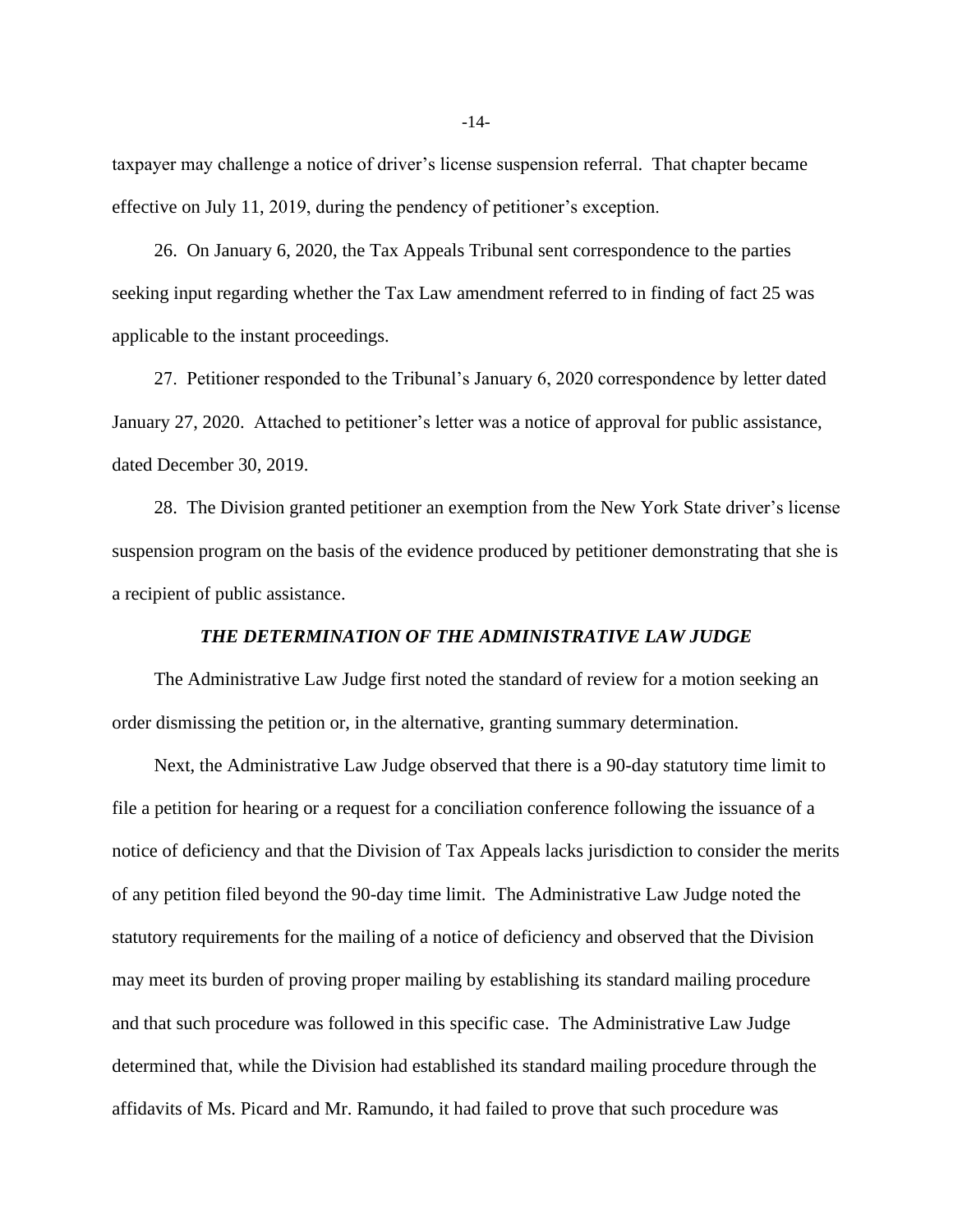taxpayer may challenge a notice of driver's license suspension referral. That chapter became effective on July 11, 2019, during the pendency of petitioner's exception.

26. On January 6, 2020, the Tax Appeals Tribunal sent correspondence to the parties seeking input regarding whether the Tax Law amendment referred to in finding of fact 25 was applicable to the instant proceedings.

27. Petitioner responded to the Tribunal's January 6, 2020 correspondence by letter dated January 27, 2020. Attached to petitioner's letter was a notice of approval for public assistance, dated December 30, 2019.

28. The Division granted petitioner an exemption from the New York State driver's license suspension program on the basis of the evidence produced by petitioner demonstrating that she is a recipient of public assistance.

### *THE DETERMINATION OF THE ADMINISTRATIVE LAW JUDGE*

The Administrative Law Judge first noted the standard of review for a motion seeking an order dismissing the petition or, in the alternative, granting summary determination.

Next, the Administrative Law Judge observed that there is a 90-day statutory time limit to file a petition for hearing or a request for a conciliation conference following the issuance of a notice of deficiency and that the Division of Tax Appeals lacks jurisdiction to consider the merits of any petition filed beyond the 90-day time limit. The Administrative Law Judge noted the statutory requirements for the mailing of a notice of deficiency and observed that the Division may meet its burden of proving proper mailing by establishing its standard mailing procedure and that such procedure was followed in this specific case. The Administrative Law Judge determined that, while the Division had established its standard mailing procedure through the affidavits of Ms. Picard and Mr. Ramundo, it had failed to prove that such procedure was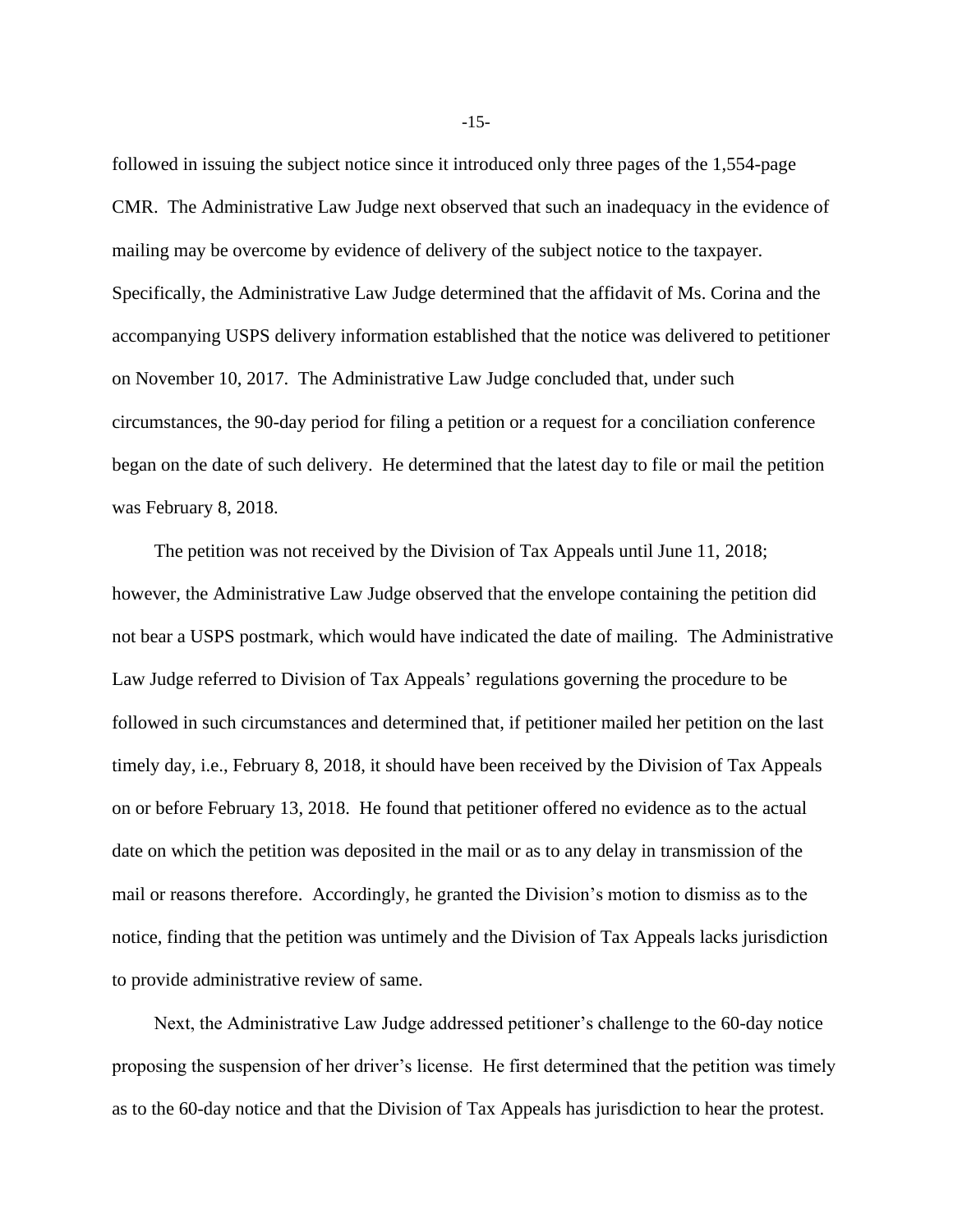followed in issuing the subject notice since it introduced only three pages of the 1,554-page CMR. The Administrative Law Judge next observed that such an inadequacy in the evidence of mailing may be overcome by evidence of delivery of the subject notice to the taxpayer. Specifically, the Administrative Law Judge determined that the affidavit of Ms. Corina and the accompanying USPS delivery information established that the notice was delivered to petitioner on November 10, 2017. The Administrative Law Judge concluded that, under such circumstances, the 90-day period for filing a petition or a request for a conciliation conference began on the date of such delivery. He determined that the latest day to file or mail the petition was February 8, 2018.

The petition was not received by the Division of Tax Appeals until June 11, 2018; however, the Administrative Law Judge observed that the envelope containing the petition did not bear a USPS postmark, which would have indicated the date of mailing. The Administrative Law Judge referred to Division of Tax Appeals' regulations governing the procedure to be followed in such circumstances and determined that, if petitioner mailed her petition on the last timely day, i.e., February 8, 2018, it should have been received by the Division of Tax Appeals on or before February 13, 2018. He found that petitioner offered no evidence as to the actual date on which the petition was deposited in the mail or as to any delay in transmission of the mail or reasons therefore. Accordingly, he granted the Division's motion to dismiss as to the notice, finding that the petition was untimely and the Division of Tax Appeals lacks jurisdiction to provide administrative review of same.

Next, the Administrative Law Judge addressed petitioner's challenge to the 60-day notice proposing the suspension of her driver's license. He first determined that the petition was timely as to the 60-day notice and that the Division of Tax Appeals has jurisdiction to hear the protest.

-15-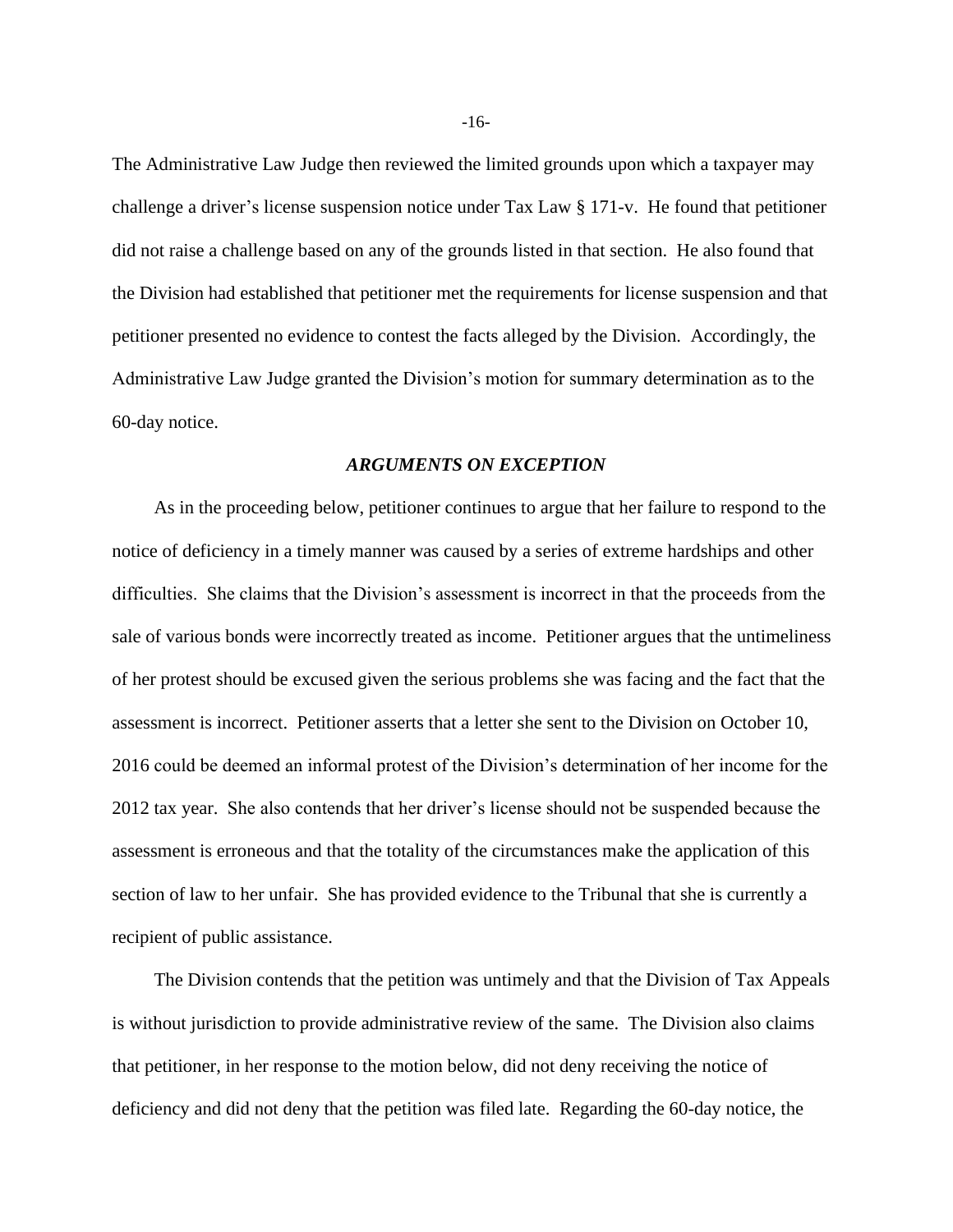The Administrative Law Judge then reviewed the limited grounds upon which a taxpayer may challenge a driver's license suspension notice under Tax Law § 171-v. He found that petitioner did not raise a challenge based on any of the grounds listed in that section. He also found that the Division had established that petitioner met the requirements for license suspension and that petitioner presented no evidence to contest the facts alleged by the Division. Accordingly, the Administrative Law Judge granted the Division's motion for summary determination as to the 60-day notice.

#### *ARGUMENTS ON EXCEPTION*

As in the proceeding below, petitioner continues to argue that her failure to respond to the notice of deficiency in a timely manner was caused by a series of extreme hardships and other difficulties. She claims that the Division's assessment is incorrect in that the proceeds from the sale of various bonds were incorrectly treated as income. Petitioner argues that the untimeliness of her protest should be excused given the serious problems she was facing and the fact that the assessment is incorrect. Petitioner asserts that a letter she sent to the Division on October 10, 2016 could be deemed an informal protest of the Division's determination of her income for the 2012 tax year. She also contends that her driver's license should not be suspended because the assessment is erroneous and that the totality of the circumstances make the application of this section of law to her unfair. She has provided evidence to the Tribunal that she is currently a recipient of public assistance.

The Division contends that the petition was untimely and that the Division of Tax Appeals is without jurisdiction to provide administrative review of the same. The Division also claims that petitioner, in her response to the motion below, did not deny receiving the notice of deficiency and did not deny that the petition was filed late. Regarding the 60-day notice, the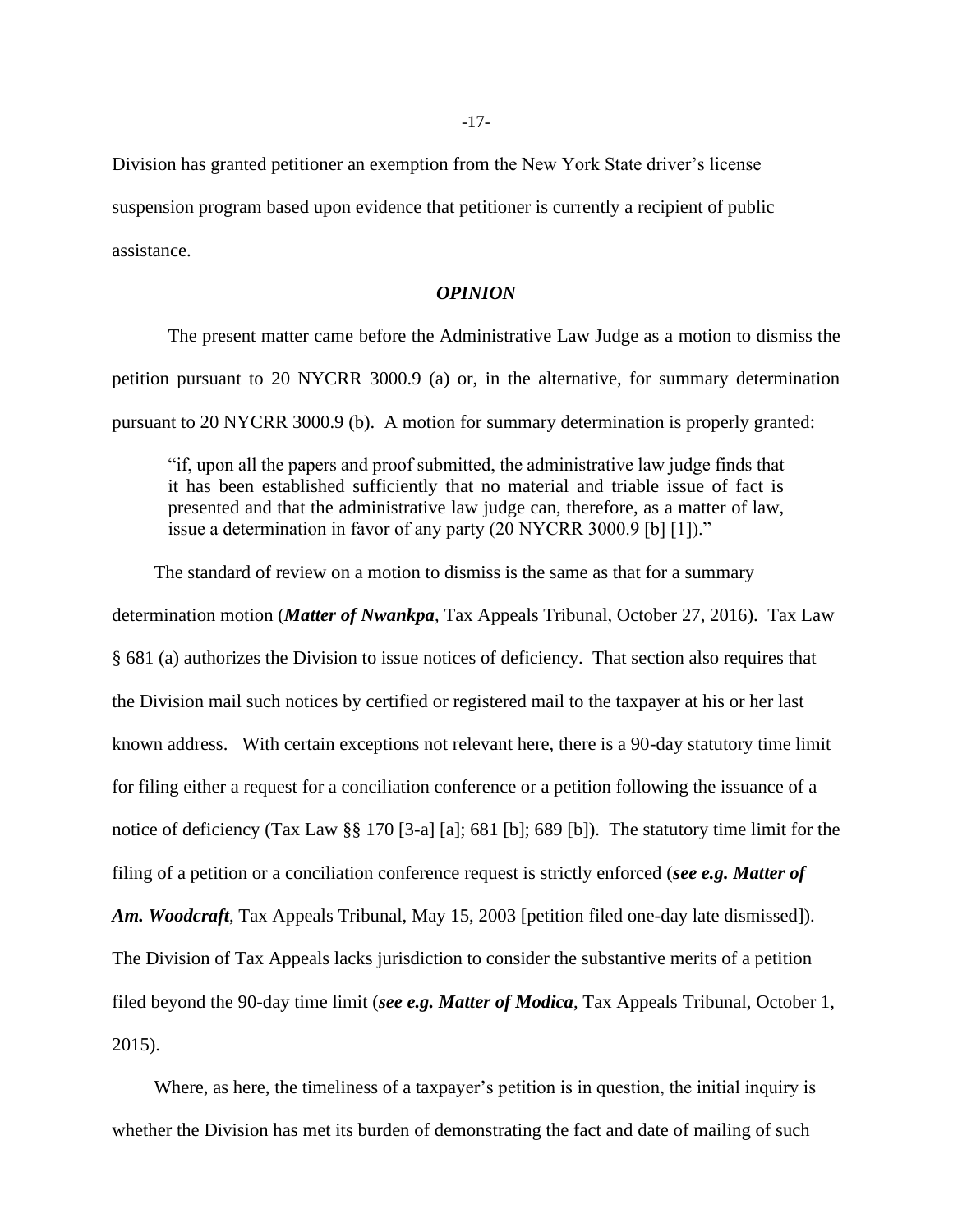Division has granted petitioner an exemption from the New York State driver's license suspension program based upon evidence that petitioner is currently a recipient of public assistance.

#### *OPINION*

The present matter came before the Administrative Law Judge as a motion to dismiss the petition pursuant to 20 NYCRR 3000.9 (a) or, in the alternative, for summary determination pursuant to 20 NYCRR 3000.9 (b). A motion for summary determination is properly granted:

"if, upon all the papers and proof submitted, the administrative law judge finds that it has been established sufficiently that no material and triable issue of fact is presented and that the administrative law judge can, therefore, as a matter of law, issue a determination in favor of any party (20 NYCRR 3000.9 [b] [1])."

The standard of review on a motion to dismiss is the same as that for a summary determination motion (*Matter of Nwankpa*, Tax Appeals Tribunal, October 27, 2016). Tax Law § 681 (a) authorizes the Division to issue notices of deficiency. That section also requires that the Division mail such notices by certified or registered mail to the taxpayer at his or her last known address. With certain exceptions not relevant here, there is a 90-day statutory time limit for filing either a request for a conciliation conference or a petition following the issuance of a notice of deficiency (Tax Law §§ 170 [3-a] [a]; 681 [b]; 689 [b]). The statutory time limit for the filing of a petition or a conciliation conference request is strictly enforced (*see e.g. Matter of Am. Woodcraft*, Tax Appeals Tribunal, May 15, 2003 [petition filed one-day late dismissed]). The Division of Tax Appeals lacks jurisdiction to consider the substantive merits of a petition filed beyond the 90-day time limit (*see e.g. Matter of Modica*, Tax Appeals Tribunal, October 1, 2015).

Where, as here, the timeliness of a taxpayer's petition is in question, the initial inquiry is whether the Division has met its burden of demonstrating the fact and date of mailing of such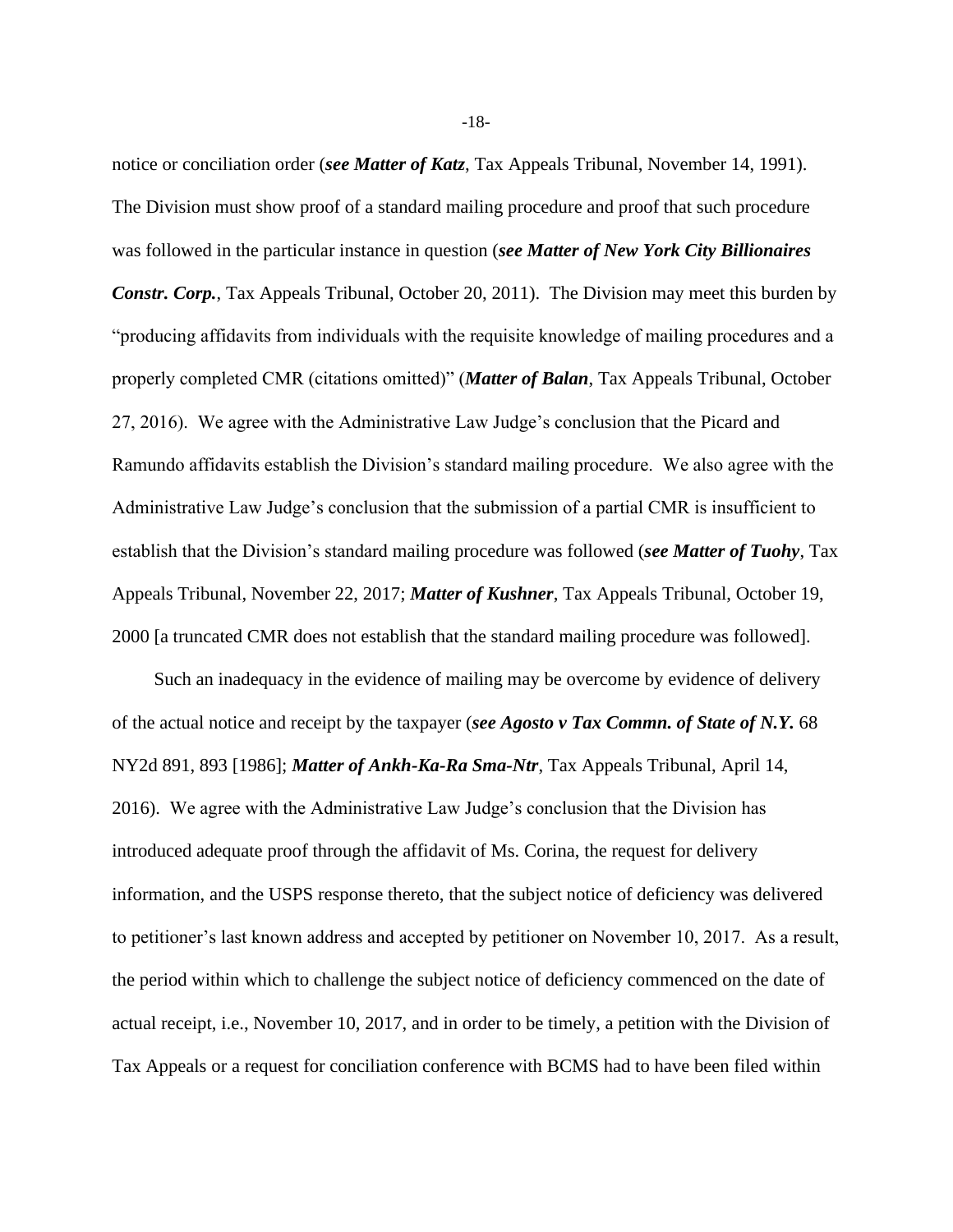notice or conciliation order (*see Matter of Katz*, Tax Appeals Tribunal, November 14, 1991). The Division must show proof of a standard mailing procedure and proof that such procedure was followed in the particular instance in question (*see Matter of New York City Billionaires Constr. Corp.*, Tax Appeals Tribunal, October 20, 2011). The Division may meet this burden by "producing affidavits from individuals with the requisite knowledge of mailing procedures and a properly completed CMR (citations omitted)" (*Matter of Balan*, Tax Appeals Tribunal, October 27, 2016). We agree with the Administrative Law Judge's conclusion that the Picard and Ramundo affidavits establish the Division's standard mailing procedure. We also agree with the Administrative Law Judge's conclusion that the submission of a partial CMR is insufficient to establish that the Division's standard mailing procedure was followed (*see Matter of Tuohy*, Tax Appeals Tribunal, November 22, 2017; *Matter of Kushner*, Tax Appeals Tribunal, October 19, 2000 [a truncated CMR does not establish that the standard mailing procedure was followed].

Such an inadequacy in the evidence of mailing may be overcome by evidence of delivery of the actual notice and receipt by the taxpayer (*see Agosto v Tax Commn. of State of N.Y.* 68 NY2d 891, 893 [1986]; *Matter of Ankh-Ka-Ra Sma-Ntr*, Tax Appeals Tribunal, April 14, 2016). We agree with the Administrative Law Judge's conclusion that the Division has introduced adequate proof through the affidavit of Ms. Corina, the request for delivery information, and the USPS response thereto, that the subject notice of deficiency was delivered to petitioner's last known address and accepted by petitioner on November 10, 2017. As a result, the period within which to challenge the subject notice of deficiency commenced on the date of actual receipt, i.e., November 10, 2017, and in order to be timely, a petition with the Division of Tax Appeals or a request for conciliation conference with BCMS had to have been filed within

-18-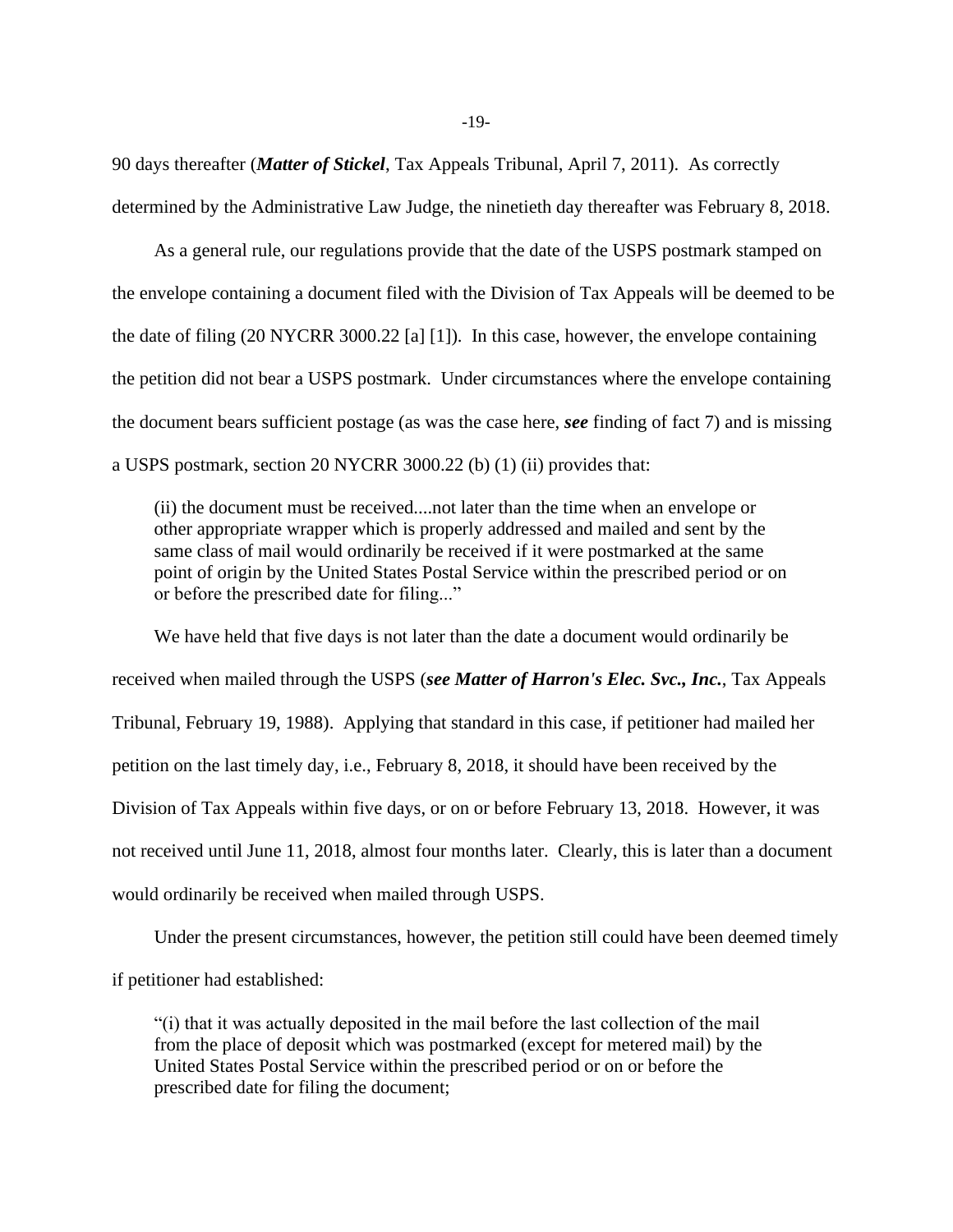90 days thereafter (*Matter of Stickel*, Tax Appeals Tribunal, April 7, 2011). As correctly determined by the Administrative Law Judge, the ninetieth day thereafter was February 8, 2018.

As a general rule, our regulations provide that the date of the USPS postmark stamped on the envelope containing a document filed with the Division of Tax Appeals will be deemed to be the date of filing (20 NYCRR 3000.22 [a] [1]). In this case, however, the envelope containing the petition did not bear a USPS postmark. Under circumstances where the envelope containing the document bears sufficient postage (as was the case here, *see* finding of fact 7) and is missing a USPS postmark, section 20 NYCRR 3000.22 (b) (1) (ii) provides that:

(ii) the document must be received....not later than the time when an envelope or other appropriate wrapper which is properly addressed and mailed and sent by the same class of mail would ordinarily be received if it were postmarked at the same point of origin by the United States Postal Service within the prescribed period or on or before the prescribed date for filing..."

We have held that five days is not later than the date a document would ordinarily be received when mailed through the USPS (*see Matter of Harron's Elec. Svc., Inc.*, Tax Appeals Tribunal, February 19, 1988). Applying that standard in this case, if petitioner had mailed her petition on the last timely day, i.e., February 8, 2018, it should have been received by the Division of Tax Appeals within five days, or on or before February 13, 2018. However, it was not received until June 11, 2018, almost four months later. Clearly, this is later than a document would ordinarily be received when mailed through USPS.

Under the present circumstances, however, the petition still could have been deemed timely if petitioner had established:

"(i) that it was actually deposited in the mail before the last collection of the mail from the place of deposit which was postmarked (except for metered mail) by the United States Postal Service within the prescribed period or on or before the prescribed date for filing the document;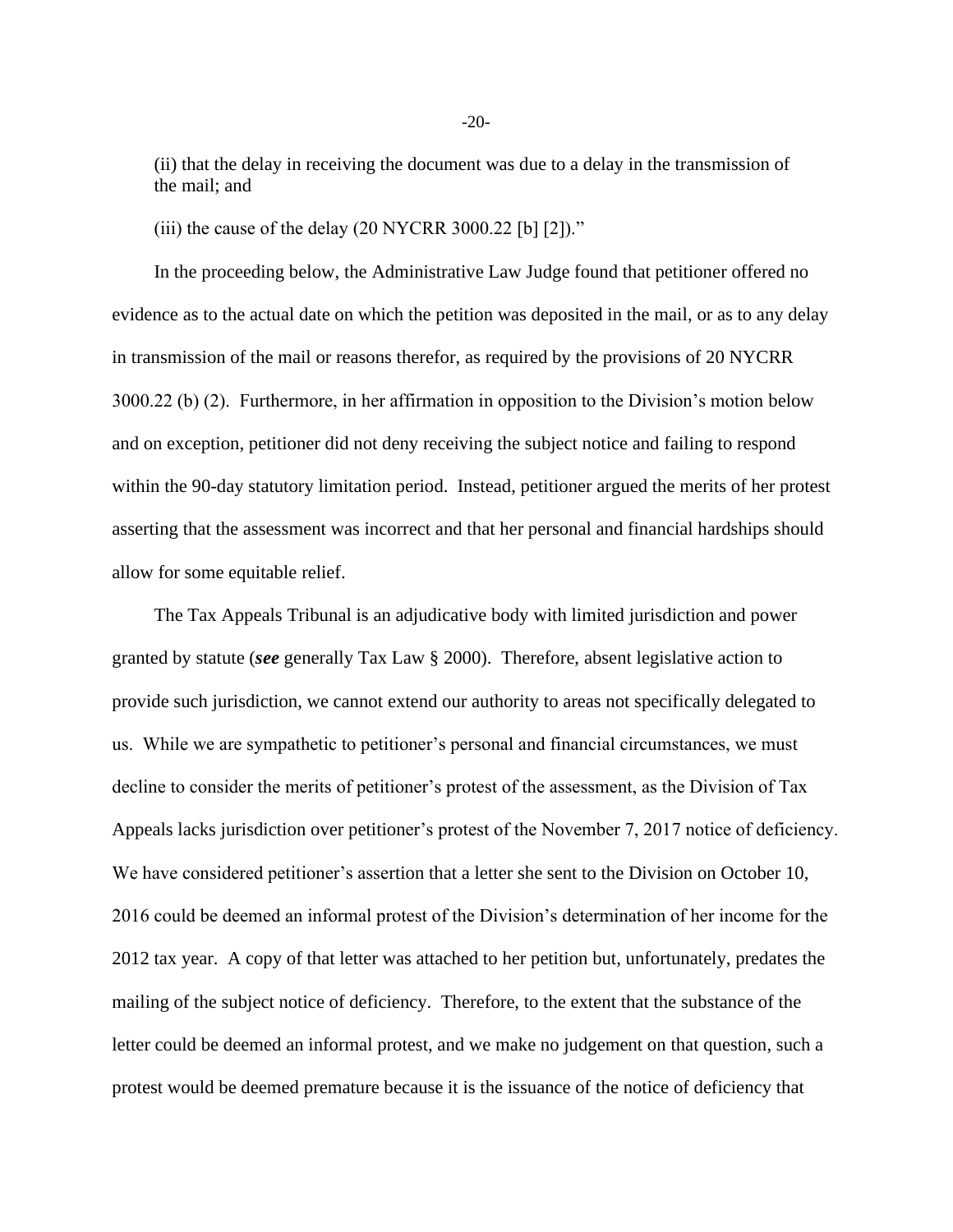(ii) that the delay in receiving the document was due to a delay in the transmission of the mail; and

(iii) the cause of the delay  $(20 \text{ NYCRR } 3000.22 \text{ [b]} [2])$ ."

In the proceeding below, the Administrative Law Judge found that petitioner offered no evidence as to the actual date on which the petition was deposited in the mail, or as to any delay in transmission of the mail or reasons therefor, as required by the provisions of 20 NYCRR 3000.22 (b) (2). Furthermore, in her affirmation in opposition to the Division's motion below and on exception, petitioner did not deny receiving the subject notice and failing to respond within the 90-day statutory limitation period. Instead, petitioner argued the merits of her protest asserting that the assessment was incorrect and that her personal and financial hardships should allow for some equitable relief.

The Tax Appeals Tribunal is an adjudicative body with limited jurisdiction and power granted by statute (*see* generally Tax Law § 2000). Therefore, absent legislative action to provide such jurisdiction, we cannot extend our authority to areas not specifically delegated to us. While we are sympathetic to petitioner's personal and financial circumstances, we must decline to consider the merits of petitioner's protest of the assessment, as the Division of Tax Appeals lacks jurisdiction over petitioner's protest of the November 7, 2017 notice of deficiency. We have considered petitioner's assertion that a letter she sent to the Division on October 10, 2016 could be deemed an informal protest of the Division's determination of her income for the 2012 tax year. A copy of that letter was attached to her petition but, unfortunately, predates the mailing of the subject notice of deficiency. Therefore, to the extent that the substance of the letter could be deemed an informal protest, and we make no judgement on that question, such a protest would be deemed premature because it is the issuance of the notice of deficiency that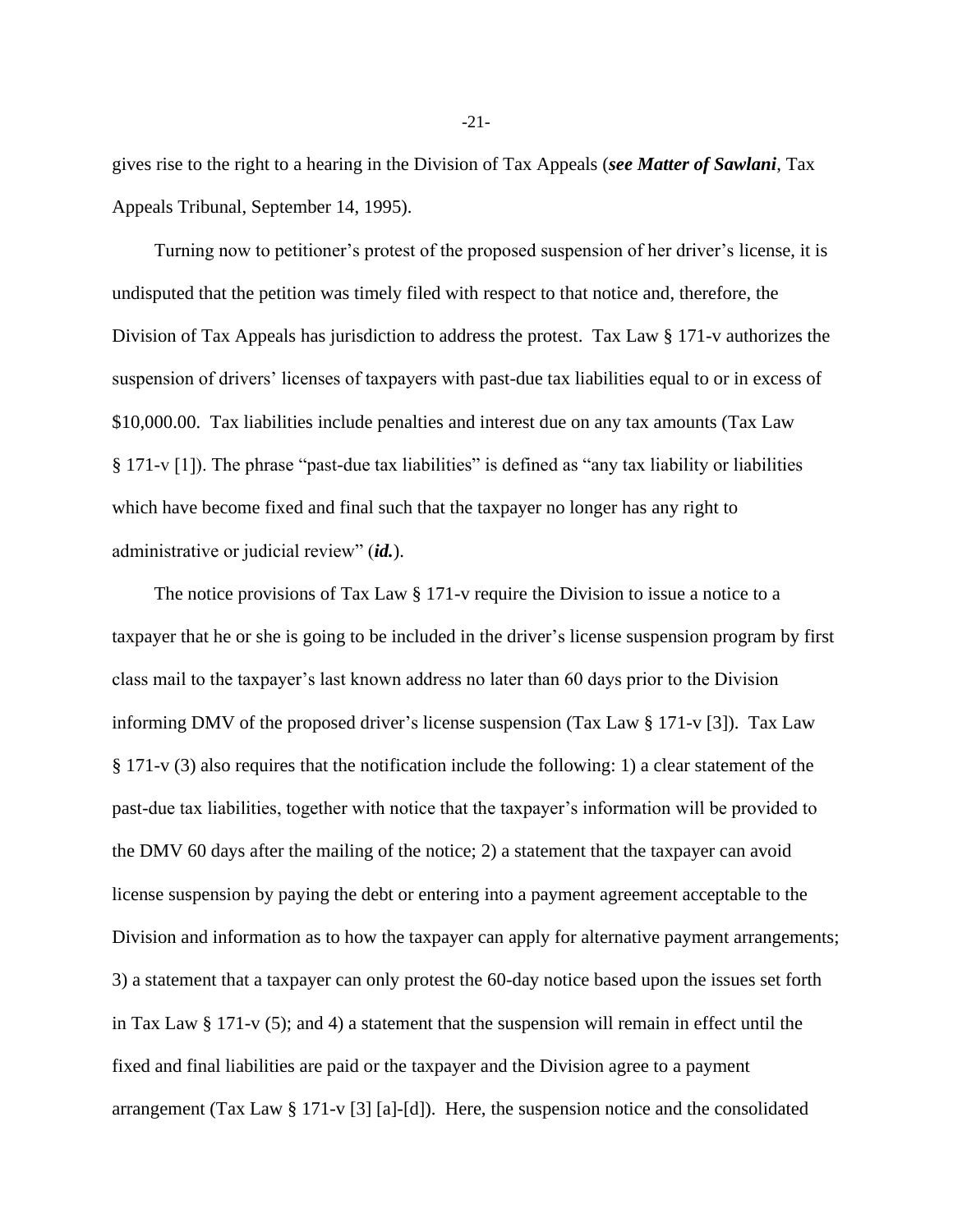gives rise to the right to a hearing in the Division of Tax Appeals (*see Matter of Sawlani*, Tax Appeals Tribunal, September 14, 1995).

Turning now to petitioner's protest of the proposed suspension of her driver's license, it is undisputed that the petition was timely filed with respect to that notice and, therefore, the Division of Tax Appeals has jurisdiction to address the protest. Tax Law § 171-v authorizes the suspension of drivers' licenses of taxpayers with past-due tax liabilities equal to or in excess of \$10,000.00. Tax liabilities include penalties and interest due on any tax amounts (Tax Law § 171-v [1]). The phrase "past-due tax liabilities" is defined as "any tax liability or liabilities which have become fixed and final such that the taxpayer no longer has any right to administrative or judicial review" (*id.*).

The notice provisions of Tax Law § 171-v require the Division to issue a notice to a taxpayer that he or she is going to be included in the driver's license suspension program by first class mail to the taxpayer's last known address no later than 60 days prior to the Division informing DMV of the proposed driver's license suspension (Tax Law § 171-v [3]). Tax Law § 171-v (3) also requires that the notification include the following: 1) a clear statement of the past-due tax liabilities, together with notice that the taxpayer's information will be provided to the DMV 60 days after the mailing of the notice; 2) a statement that the taxpayer can avoid license suspension by paying the debt or entering into a payment agreement acceptable to the Division and information as to how the taxpayer can apply for alternative payment arrangements; 3) a statement that a taxpayer can only protest the 60-day notice based upon the issues set forth in Tax Law  $\S 171-v(5)$ ; and 4) a statement that the suspension will remain in effect until the fixed and final liabilities are paid or the taxpayer and the Division agree to a payment arrangement (Tax Law § 171-v [3] [a]-[d]). Here, the suspension notice and the consolidated

-21-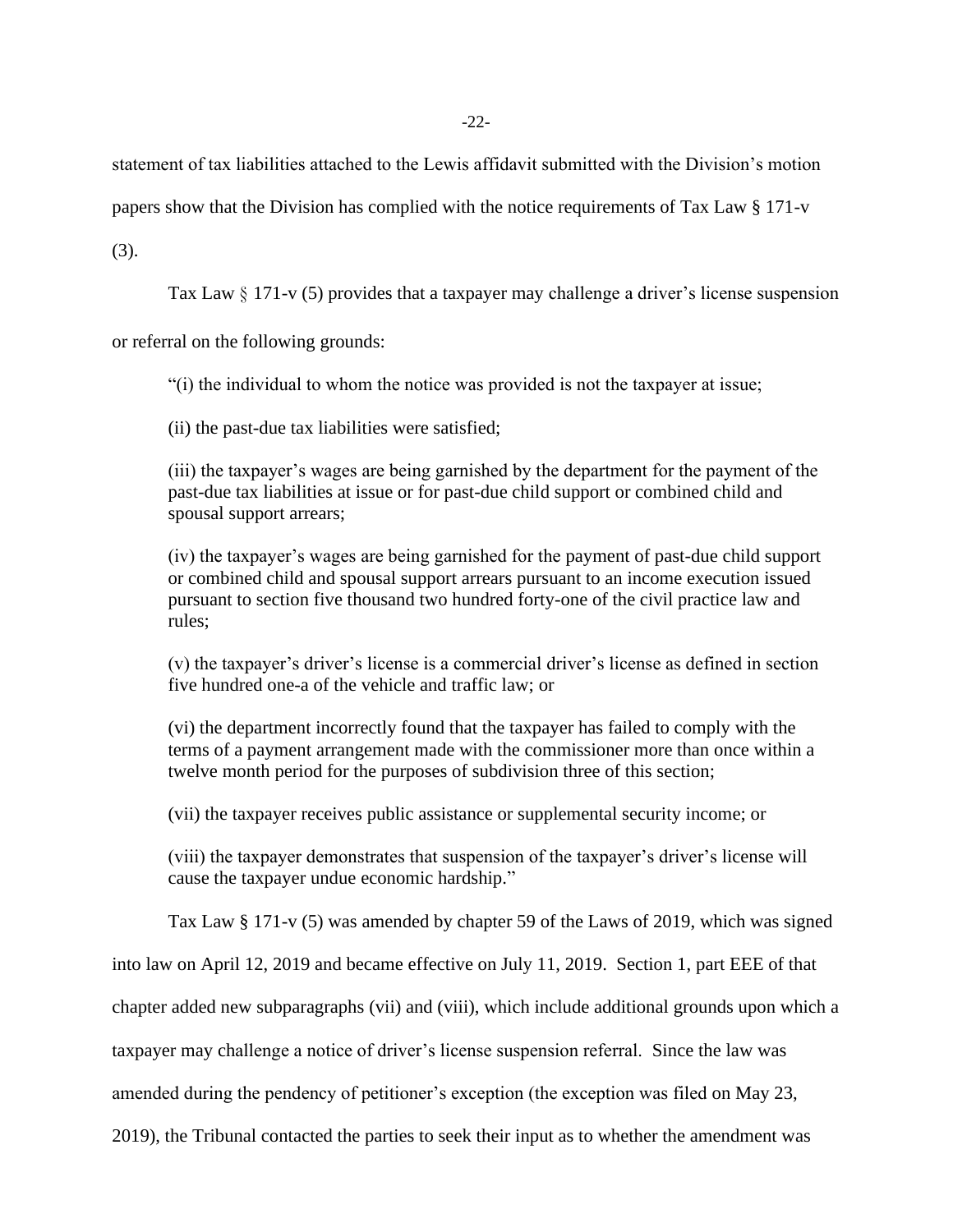statement of tax liabilities attached to the Lewis affidavit submitted with the Division's motion

papers show that the Division has complied with the notice requirements of Tax Law § 171-v

(3).

Tax Law  $\S 171-v(5)$  provides that a taxpayer may challenge a driver's license suspension

or referral on the following grounds:

"(i) the individual to whom the notice was provided is not the taxpayer at issue;

(ii) the past-due tax liabilities were satisfied;

(iii) the taxpayer's wages are being garnished by the department for the payment of the past-due tax liabilities at issue or for past-due child support or combined child and spousal support arrears;

(iv) the taxpayer's wages are being garnished for the payment of past-due child support or combined child and spousal support arrears pursuant to an income execution issued pursuant to section five thousand two hundred forty-one of the civil practice law and rules;

(v) the taxpayer's driver's license is a commercial driver's license as defined in section five hundred one-a of the vehicle and traffic law; or

(vi) the department incorrectly found that the taxpayer has failed to comply with the terms of a payment arrangement made with the commissioner more than once within a twelve month period for the purposes of subdivision three of this section;

(vii) the taxpayer receives public assistance or supplemental security income; or

(viii) the taxpayer demonstrates that suspension of the taxpayer's driver's license will cause the taxpayer undue economic hardship."

Tax Law § 171-v (5) was amended by chapter 59 of the Laws of 2019, which was signed

into law on April 12, 2019 and became effective on July 11, 2019. Section 1, part EEE of that

chapter added new subparagraphs (vii) and (viii), which include additional grounds upon which a

taxpayer may challenge a notice of driver's license suspension referral. Since the law was

amended during the pendency of petitioner's exception (the exception was filed on May 23,

2019), the Tribunal contacted the parties to seek their input as to whether the amendment was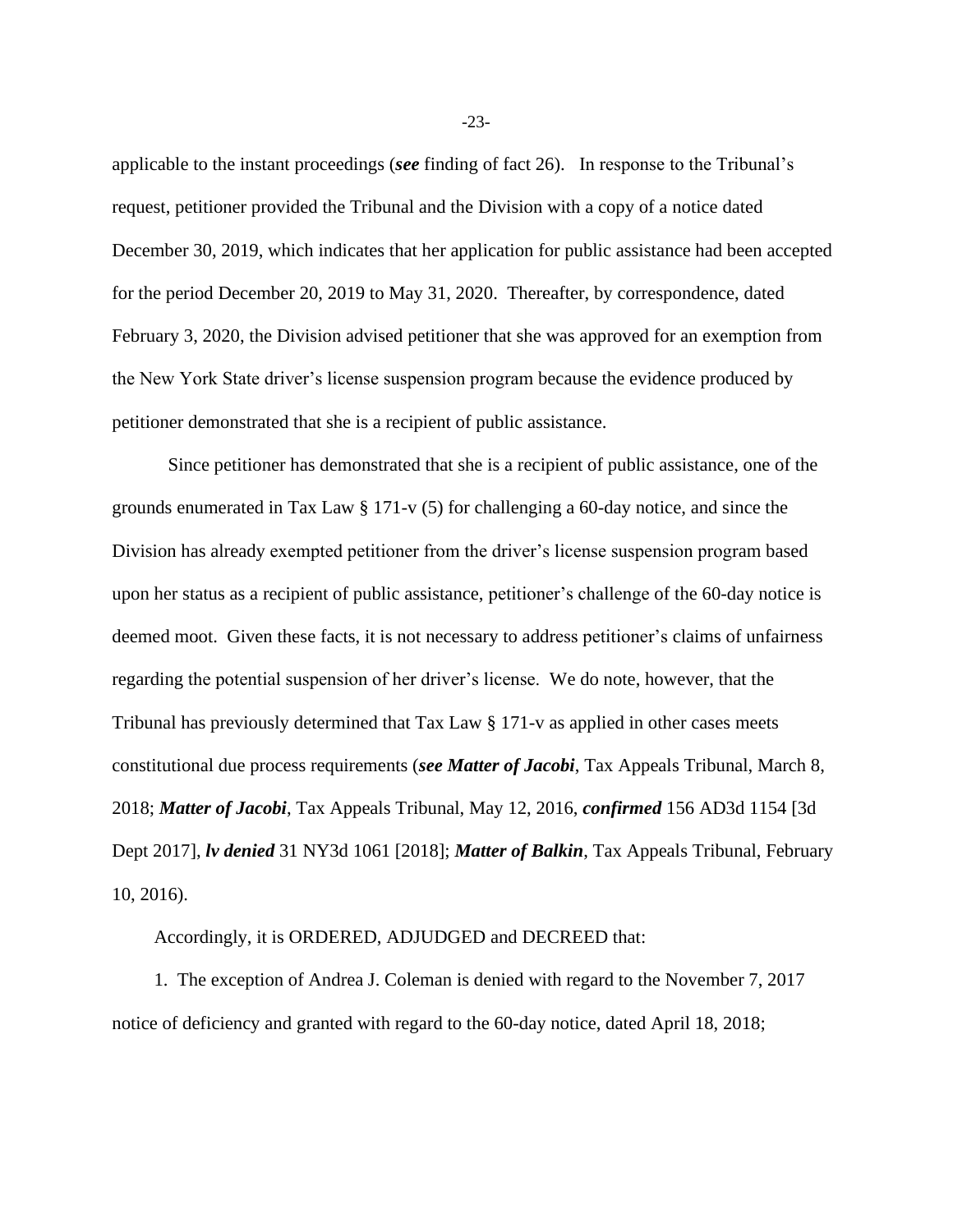applicable to the instant proceedings (*see* finding of fact 26). In response to the Tribunal's request, petitioner provided the Tribunal and the Division with a copy of a notice dated December 30, 2019, which indicates that her application for public assistance had been accepted for the period December 20, 2019 to May 31, 2020. Thereafter, by correspondence, dated February 3, 2020, the Division advised petitioner that she was approved for an exemption from the New York State driver's license suspension program because the evidence produced by petitioner demonstrated that she is a recipient of public assistance.

Since petitioner has demonstrated that she is a recipient of public assistance, one of the grounds enumerated in Tax Law § 171-v (5) for challenging a 60-day notice, and since the Division has already exempted petitioner from the driver's license suspension program based upon her status as a recipient of public assistance, petitioner's challenge of the 60-day notice is deemed moot. Given these facts, it is not necessary to address petitioner's claims of unfairness regarding the potential suspension of her driver's license. We do note, however, that the Tribunal has previously determined that Tax Law § 171-v as applied in other cases meets constitutional due process requirements (*see Matter of Jacobi*, Tax Appeals Tribunal, March 8, 2018; *Matter of Jacobi*, Tax Appeals Tribunal, May 12, 2016, *confirmed* 156 AD3d 1154 [3d Dept 2017], *lv denied* 31 NY3d 1061 [2018]; *Matter of Balkin*, Tax Appeals Tribunal, February 10, 2016).

Accordingly, it is ORDERED, ADJUDGED and DECREED that:

1. The exception of Andrea J. Coleman is denied with regard to the November 7, 2017 notice of deficiency and granted with regard to the 60-day notice, dated April 18, 2018;

-23-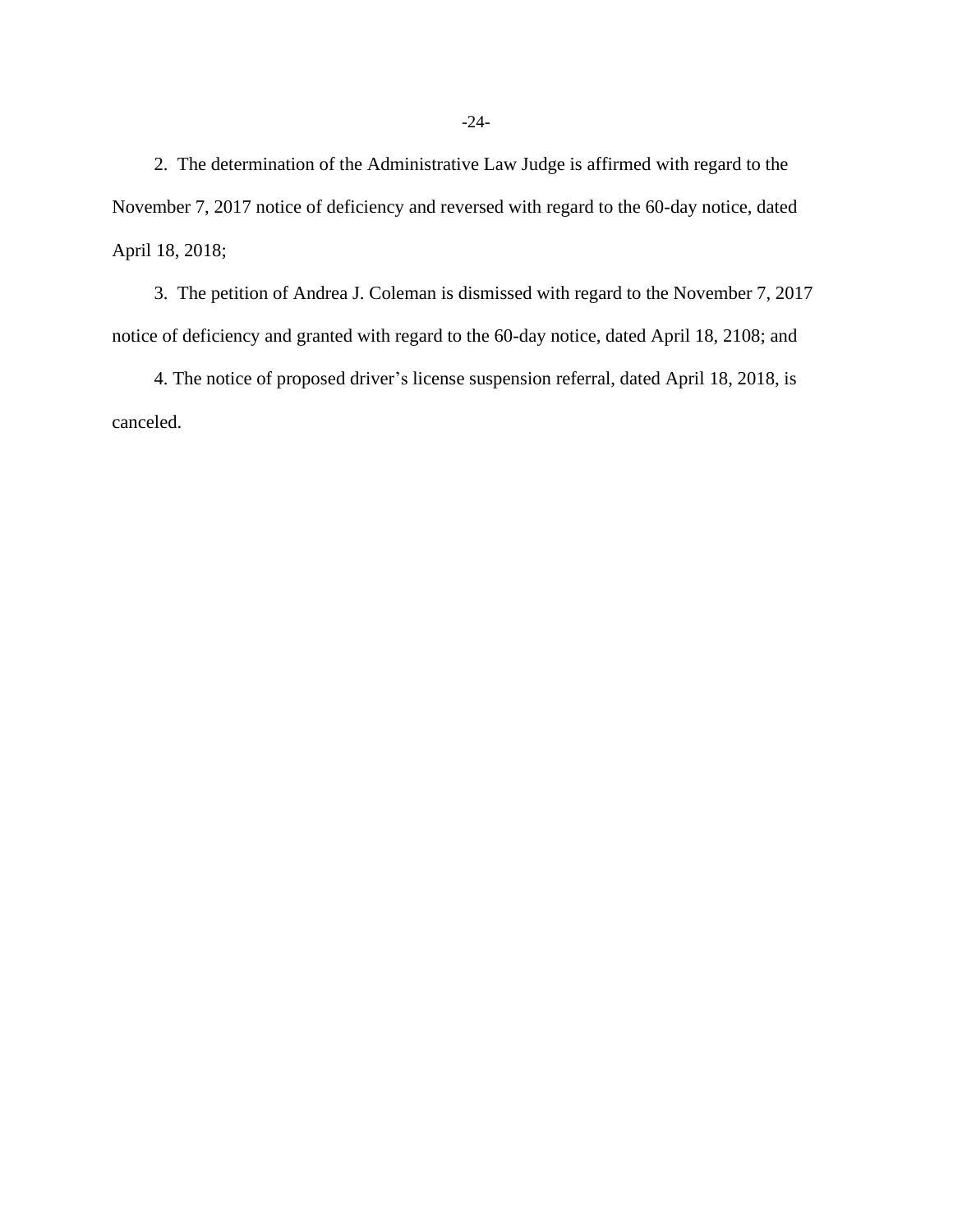2. The determination of the Administrative Law Judge is affirmed with regard to the November 7, 2017 notice of deficiency and reversed with regard to the 60-day notice, dated April 18, 2018;

3. The petition of Andrea J. Coleman is dismissed with regard to the November 7, 2017 notice of deficiency and granted with regard to the 60-day notice, dated April 18, 2108; and

4. The notice of proposed driver's license suspension referral, dated April 18, 2018, is canceled.